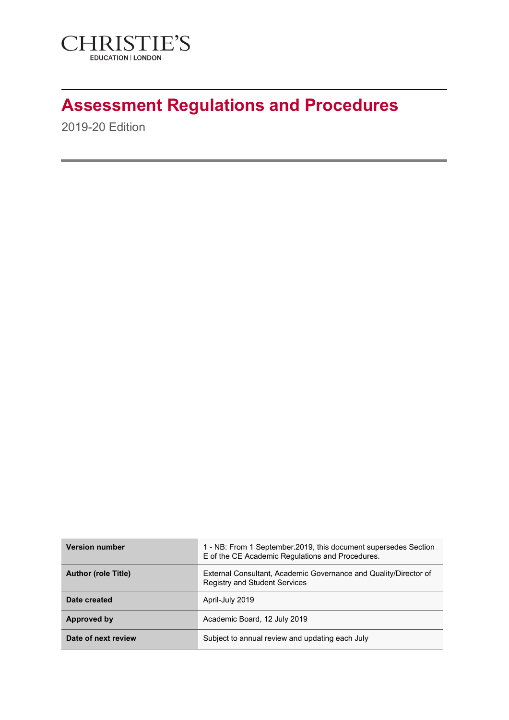

# **Assessment Regulations and Procedures**

2019-20 Edition

| <b>Version number</b>      | 1 - NB: From 1 September.2019, this document supersedes Section<br>E of the CE Academic Regulations and Procedures. |
|----------------------------|---------------------------------------------------------------------------------------------------------------------|
| <b>Author (role Title)</b> | External Consultant, Academic Governance and Quality/Director of<br><b>Registry and Student Services</b>            |
| Date created               | April-July 2019                                                                                                     |
| Approved by                | Academic Board, 12 July 2019                                                                                        |
| Date of next review        | Subject to annual review and updating each July                                                                     |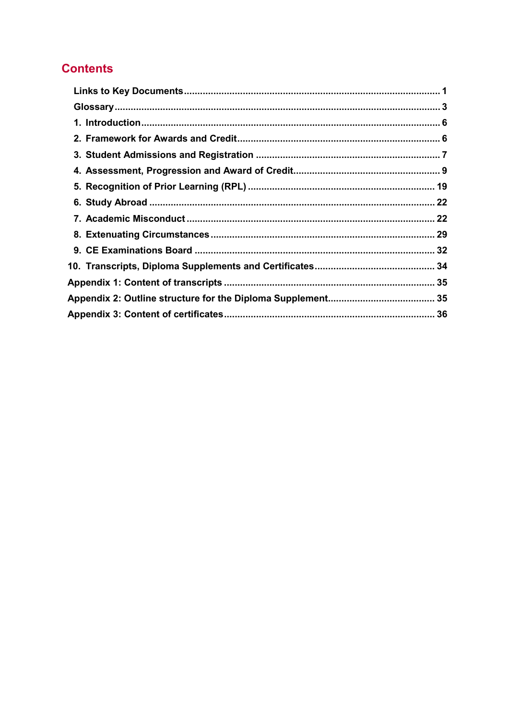# **Contents**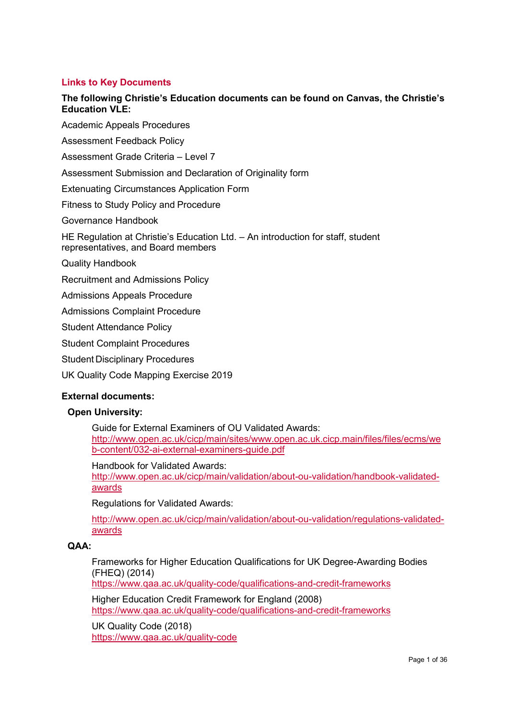# <span id="page-2-0"></span>**Links to Key Documents**

# **The following Christie's Education documents can be found on Canvas, the Christie's Education VLE:**

Academic Appeals Procedures

Assessment Feedback Policy

Assessment Grade Criteria – Level 7

Assessment Submission and Declaration of Originality form

Extenuating Circumstances Application Form

Fitness to Study Policy and Procedure

[Governance Handbook](https://keithbartlettandass-my.sharepoint.com/personal/k_bartlett_bartlettandassociates_co_uk/Documents/Christies%20Education/Regs%20&%20Ps%2018-19%20CANVAS%20DRAFTS/PDF%20VERSIONS/CE%20Ltd%20Governance%20Handbook%2017-18%20FINAL.pdf)

HE Regulation at Christie's Education Ltd. – An introduction for staff, student representatives, and Board members

Quality Handbook

Recruitment and Admissions Policy

Admissions Appeals Procedure

Admissions Complaint Procedure

Student Attendance Policy

Student Complaint Procedures

Student Disciplinary Procedures

UK Quality Code Mapping Exercise 2019

#### **External documents:**

#### **Open University:**

[Guide for External Examiners](http://www.open.ac.uk/cicp/main/sites/www.open.ac.uk.cicp.main/files/files/ecms/web-content/032-ai-external-examiners-guide.pdf) of OU Validated Awards: [http://www.open.ac.uk/cicp/main/sites/www.open.ac.uk.cicp.main/files/files/ecms/we](http://www.open.ac.uk/cicp/main/sites/www.open.ac.uk.cicp.main/files/files/ecms/web-content/032-ai-external-examiners-guide.pdf) [b-content/032-ai-external-examiners-guide.pdf](http://www.open.ac.uk/cicp/main/sites/www.open.ac.uk.cicp.main/files/files/ecms/web-content/032-ai-external-examiners-guide.pdf)

Handbook for Validated Awards:

[http://www.open.ac.uk/cicp/main/validation/about-ou-validation/handbook-validated](http://www.open.ac.uk/cicp/main/validation/about-ou-validation/handbook-validated-awards)[awards](http://www.open.ac.uk/cicp/main/validation/about-ou-validation/handbook-validated-awards)

Regulations for Validated Awards:

[http://www.open.ac.uk/cicp/main/validation/about-ou-validation/regulations-validated](http://www.open.ac.uk/cicp/main/validation/about-ou-validation/regulations-validated-awards)[awards](http://www.open.ac.uk/cicp/main/validation/about-ou-validation/regulations-validated-awards)

#### **QAA:**

Frameworks for Higher Education Qualifications for UK Degree-Awarding Bodies (FHEQ) (2014)

<https://www.qaa.ac.uk/quality-code/qualifications-and-credit-frameworks>

[Higher Education Credit Framework for England](http://www.qaa.ac.uk/en/Publications/Documents/Academic-Credit-Framework.pdf) (2008) <https://www.qaa.ac.uk/quality-code/qualifications-and-credit-frameworks>

UK Quality Code (2018) <https://www.qaa.ac.uk/quality-code>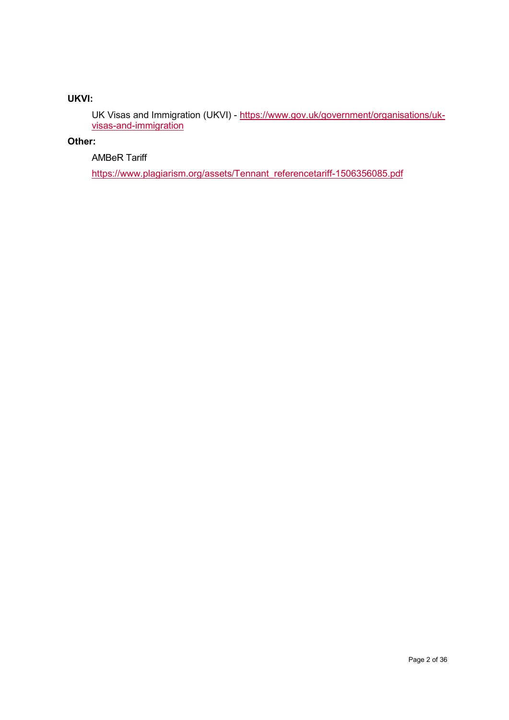# **UKVI:**

UK Visas and Immigration (UKVI) - [https://www.gov.uk/government/organisations/uk](https://www.gov.uk/government/organisations/uk-visas-and-immigration)[visas-and-immigration](https://www.gov.uk/government/organisations/uk-visas-and-immigration)

# **Other:**

# AMBeR Tariff

[https://www.plagiarism.org/assets/Tennant\\_referencetariff-1506356085.pdf](https://www.plagiarism.org/assets/Tennant_referencetariff-1506356085.pdf)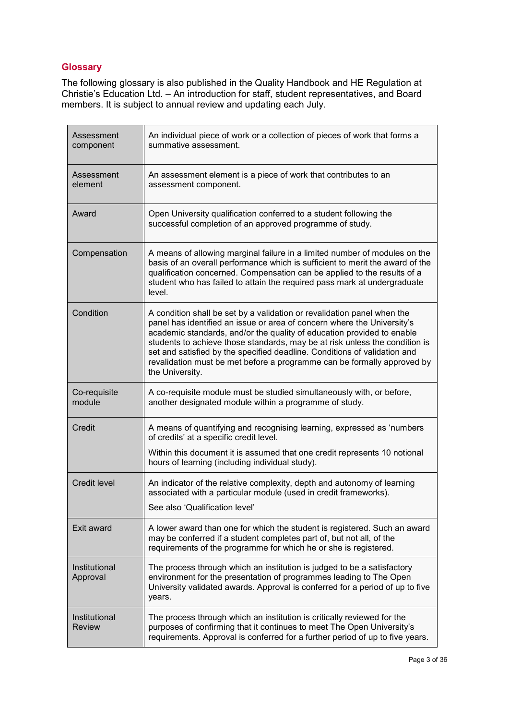# <span id="page-4-0"></span>**Glossary**

The following glossary is also published in the Quality Handbook and HE Regulation at Christie's Education Ltd. – An introduction for staff, student representatives, and Board members. It is subject to annual review and updating each July.

| Assessment<br>component        | An individual piece of work or a collection of pieces of work that forms a<br>summative assessment.                                                                                                                                                                                                                                                                                                                                                                                    |  |
|--------------------------------|----------------------------------------------------------------------------------------------------------------------------------------------------------------------------------------------------------------------------------------------------------------------------------------------------------------------------------------------------------------------------------------------------------------------------------------------------------------------------------------|--|
| Assessment<br>element          | An assessment element is a piece of work that contributes to an<br>assessment component.                                                                                                                                                                                                                                                                                                                                                                                               |  |
| Award                          | Open University qualification conferred to a student following the<br>successful completion of an approved programme of study.                                                                                                                                                                                                                                                                                                                                                         |  |
| Compensation                   | A means of allowing marginal failure in a limited number of modules on the<br>basis of an overall performance which is sufficient to merit the award of the<br>qualification concerned. Compensation can be applied to the results of a<br>student who has failed to attain the required pass mark at undergraduate<br>level.                                                                                                                                                          |  |
| Condition                      | A condition shall be set by a validation or revalidation panel when the<br>panel has identified an issue or area of concern where the University's<br>academic standards, and/or the quality of education provided to enable<br>students to achieve those standards, may be at risk unless the condition is<br>set and satisfied by the specified deadline. Conditions of validation and<br>revalidation must be met before a programme can be formally approved by<br>the University. |  |
| Co-requisite<br>module         | A co-requisite module must be studied simultaneously with, or before,<br>another designated module within a programme of study.                                                                                                                                                                                                                                                                                                                                                        |  |
| Credit                         | A means of quantifying and recognising learning, expressed as 'numbers<br>of credits' at a specific credit level.<br>Within this document it is assumed that one credit represents 10 notional                                                                                                                                                                                                                                                                                         |  |
|                                | hours of learning (including individual study).                                                                                                                                                                                                                                                                                                                                                                                                                                        |  |
| <b>Credit level</b>            | An indicator of the relative complexity, depth and autonomy of learning<br>associated with a particular module (used in credit frameworks).<br>See also 'Qualification level'                                                                                                                                                                                                                                                                                                          |  |
| Exit award                     | A lower award than one for which the student is registered. Such an award<br>may be conferred if a student completes part of, but not all, of the<br>requirements of the programme for which he or she is registered.                                                                                                                                                                                                                                                                  |  |
| Institutional<br>Approval      | The process through which an institution is judged to be a satisfactory<br>environment for the presentation of programmes leading to The Open<br>University validated awards. Approval is conferred for a period of up to five<br>years.                                                                                                                                                                                                                                               |  |
| Institutional<br><b>Review</b> | The process through which an institution is critically reviewed for the<br>purposes of confirming that it continues to meet The Open University's<br>requirements. Approval is conferred for a further period of up to five years.                                                                                                                                                                                                                                                     |  |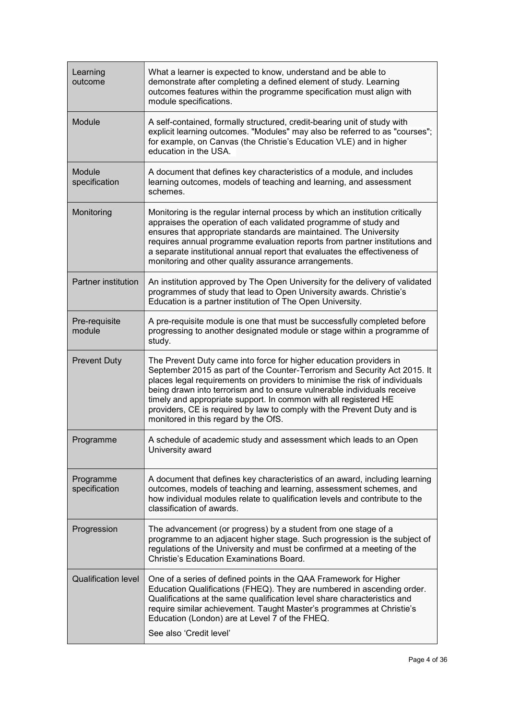| Learning<br>outcome        | What a learner is expected to know, understand and be able to<br>demonstrate after completing a defined element of study. Learning<br>outcomes features within the programme specification must align with<br>module specifications.                                                                                                                                                                                                                                                            |  |
|----------------------------|-------------------------------------------------------------------------------------------------------------------------------------------------------------------------------------------------------------------------------------------------------------------------------------------------------------------------------------------------------------------------------------------------------------------------------------------------------------------------------------------------|--|
| Module                     | A self-contained, formally structured, credit-bearing unit of study with<br>explicit learning outcomes. "Modules" may also be referred to as "courses";<br>for example, on Canvas (the Christie's Education VLE) and in higher<br>education in the USA.                                                                                                                                                                                                                                         |  |
| Module<br>specification    | A document that defines key characteristics of a module, and includes<br>learning outcomes, models of teaching and learning, and assessment<br>schemes.                                                                                                                                                                                                                                                                                                                                         |  |
| Monitoring                 | Monitoring is the regular internal process by which an institution critically<br>appraises the operation of each validated programme of study and<br>ensures that appropriate standards are maintained. The University<br>requires annual programme evaluation reports from partner institutions and<br>a separate institutional annual report that evaluates the effectiveness of<br>monitoring and other quality assurance arrangements.                                                      |  |
| Partner institution        | An institution approved by The Open University for the delivery of validated<br>programmes of study that lead to Open University awards. Christie's<br>Education is a partner institution of The Open University.                                                                                                                                                                                                                                                                               |  |
| Pre-requisite<br>module    | A pre-requisite module is one that must be successfully completed before<br>progressing to another designated module or stage within a programme of<br>study.                                                                                                                                                                                                                                                                                                                                   |  |
| <b>Prevent Duty</b>        | The Prevent Duty came into force for higher education providers in<br>September 2015 as part of the Counter-Terrorism and Security Act 2015. It<br>places legal requirements on providers to minimise the risk of individuals<br>being drawn into terrorism and to ensure vulnerable individuals receive<br>timely and appropriate support. In common with all registered HE<br>providers, CE is required by law to comply with the Prevent Duty and is<br>monitored in this regard by the OfS. |  |
| Programme                  | A schedule of academic study and assessment which leads to an Open<br>University award                                                                                                                                                                                                                                                                                                                                                                                                          |  |
| Programme<br>specification | A document that defines key characteristics of an award, including learning<br>outcomes, models of teaching and learning, assessment schemes, and<br>how individual modules relate to qualification levels and contribute to the<br>classification of awards.                                                                                                                                                                                                                                   |  |
| Progression                | The advancement (or progress) by a student from one stage of a<br>programme to an adjacent higher stage. Such progression is the subject of<br>regulations of the University and must be confirmed at a meeting of the<br><b>Christie's Education Examinations Board.</b>                                                                                                                                                                                                                       |  |
| <b>Qualification level</b> | One of a series of defined points in the QAA Framework for Higher<br>Education Qualifications (FHEQ). They are numbered in ascending order.<br>Qualifications at the same qualification level share characteristics and<br>require similar achievement. Taught Master's programmes at Christie's<br>Education (London) are at Level 7 of the FHEQ.<br>See also 'Credit level'                                                                                                                   |  |
|                            |                                                                                                                                                                                                                                                                                                                                                                                                                                                                                                 |  |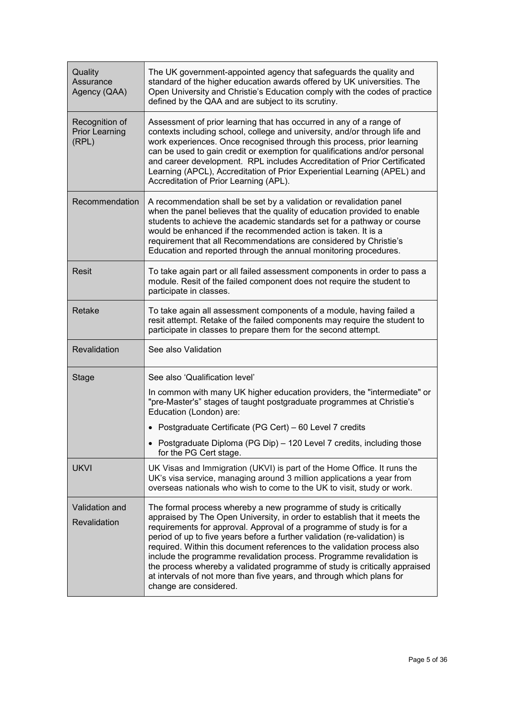| Quality<br>Assurance<br>Agency (QAA)             | The UK government-appointed agency that safeguards the quality and<br>standard of the higher education awards offered by UK universities. The<br>Open University and Christie's Education comply with the codes of practice<br>defined by the QAA and are subject to its scrutiny.                                                                                                                                                                                                                                                                                                                                                        |  |
|--------------------------------------------------|-------------------------------------------------------------------------------------------------------------------------------------------------------------------------------------------------------------------------------------------------------------------------------------------------------------------------------------------------------------------------------------------------------------------------------------------------------------------------------------------------------------------------------------------------------------------------------------------------------------------------------------------|--|
| Recognition of<br><b>Prior Learning</b><br>(RPL) | Assessment of prior learning that has occurred in any of a range of<br>contexts including school, college and university, and/or through life and<br>work experiences. Once recognised through this process, prior learning<br>can be used to gain credit or exemption for qualifications and/or personal<br>and career development. RPL includes Accreditation of Prior Certificated<br>Learning (APCL), Accreditation of Prior Experiential Learning (APEL) and<br>Accreditation of Prior Learning (APL).                                                                                                                               |  |
| Recommendation                                   | A recommendation shall be set by a validation or revalidation panel<br>when the panel believes that the quality of education provided to enable<br>students to achieve the academic standards set for a pathway or course<br>would be enhanced if the recommended action is taken. It is a<br>requirement that all Recommendations are considered by Christie's<br>Education and reported through the annual monitoring procedures.                                                                                                                                                                                                       |  |
| <b>Resit</b>                                     | To take again part or all failed assessment components in order to pass a<br>module. Resit of the failed component does not require the student to<br>participate in classes.                                                                                                                                                                                                                                                                                                                                                                                                                                                             |  |
| Retake                                           | To take again all assessment components of a module, having failed a<br>resit attempt. Retake of the failed components may require the student to<br>participate in classes to prepare them for the second attempt.                                                                                                                                                                                                                                                                                                                                                                                                                       |  |
| Revalidation                                     | See also Validation                                                                                                                                                                                                                                                                                                                                                                                                                                                                                                                                                                                                                       |  |
| <b>Stage</b>                                     | See also 'Qualification level'                                                                                                                                                                                                                                                                                                                                                                                                                                                                                                                                                                                                            |  |
|                                                  | In common with many UK higher education providers, the "intermediate" or<br>"pre-Master's" stages of taught postgraduate programmes at Christie's<br>Education (London) are:                                                                                                                                                                                                                                                                                                                                                                                                                                                              |  |
|                                                  | • Postgraduate Certificate (PG Cert) – 60 Level 7 credits                                                                                                                                                                                                                                                                                                                                                                                                                                                                                                                                                                                 |  |
|                                                  | • Postgraduate Diploma (PG Dip) - 120 Level 7 credits, including those<br>for the PG Cert stage.                                                                                                                                                                                                                                                                                                                                                                                                                                                                                                                                          |  |
| <b>UKVI</b>                                      | UK Visas and Immigration (UKVI) is part of the Home Office. It runs the<br>UK's visa service, managing around 3 million applications a year from<br>overseas nationals who wish to come to the UK to visit, study or work.                                                                                                                                                                                                                                                                                                                                                                                                                |  |
| Validation and<br>Revalidation                   | The formal process whereby a new programme of study is critically<br>appraised by The Open University, in order to establish that it meets the<br>requirements for approval. Approval of a programme of study is for a<br>period of up to five years before a further validation (re-validation) is<br>required. Within this document references to the validation process also<br>include the programme revalidation process. Programme revalidation is<br>the process whereby a validated programme of study is critically appraised<br>at intervals of not more than five years, and through which plans for<br>change are considered. |  |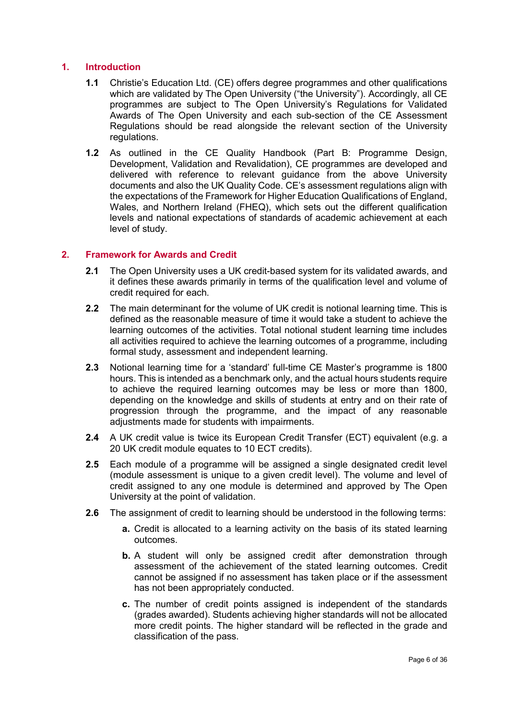# <span id="page-7-0"></span>**1. Introduction**

- **1.1** Christie's Education Ltd. (CE) offers degree programmes and other qualifications which are validated by The Open University ("the University"). Accordingly, all CE programmes are subject to The Open University's Regulations for Validated Awards of The Open University and each sub-section of the CE Assessment Regulations should be read alongside the relevant section of the University regulations.
- **1.2** As outlined in the CE Quality Handbook (Part B: Programme Design, Development, Validation and Revalidation), CE programmes are developed and delivered with reference to relevant guidance from the above University documents and also the UK Quality Code. CE's assessment regulations align with the expectations of the Framework for Higher Education Qualifications of England, Wales, and Northern Ireland (FHEQ), which sets out the different qualification levels and national expectations of standards of academic achievement at each level of study.

#### <span id="page-7-1"></span>**2. Framework for Awards and Credit**

- **2.1** The Open University uses a UK credit-based system for its validated awards, and it defines these awards primarily in terms of the qualification level and volume of credit required for each.
- **2.2** The main determinant for the volume of UK credit is notional learning time. This is defined as the reasonable measure of time it would take a student to achieve the learning outcomes of the activities. Total notional student learning time includes all activities required to achieve the learning outcomes of a programme, including formal study, assessment and independent learning.
- **2.3** Notional learning time for a 'standard' full-time CE Master's programme is 1800 hours. This is intended as a benchmark only, and the actual hours students require to achieve the required learning outcomes may be less or more than 1800, depending on the knowledge and skills of students at entry and on their rate of progression through the programme, and the impact of any reasonable adjustments made for students with impairments.
- **2.4** A UK credit value is twice its European Credit Transfer (ECT) equivalent (e.g. a 20 UK credit module equates to 10 ECT credits).
- **2.5** Each module of a programme will be assigned a single designated credit level (module assessment is unique to a given credit level). The volume and level of credit assigned to any one module is determined and approved by The Open University at the point of validation.
- **2.6** The assignment of credit to learning should be understood in the following terms:
	- **a.** Credit is allocated to a learning activity on the basis of its stated learning outcomes.
	- **b.** A student will only be assigned credit after demonstration through assessment of the achievement of the stated learning outcomes. Credit cannot be assigned if no assessment has taken place or if the assessment has not been appropriately conducted.
	- **c.** The number of credit points assigned is independent of the standards (grades awarded). Students achieving higher standards will not be allocated more credit points. The higher standard will be reflected in the grade and classification of the pass.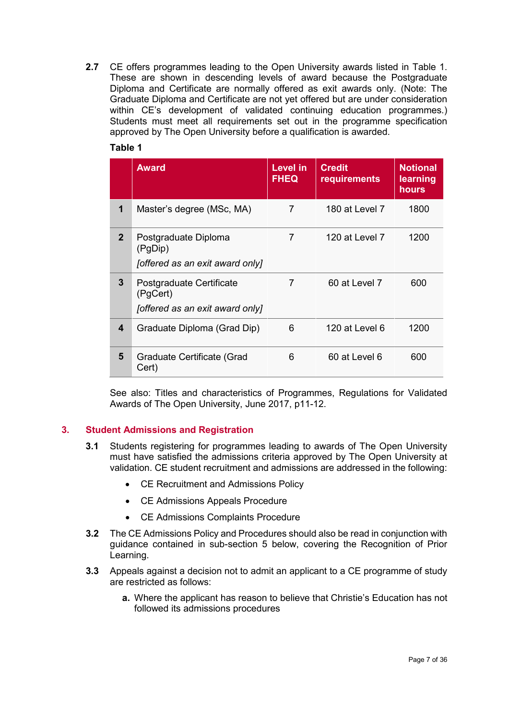**2.7** CE offers programmes leading to the Open University awards listed in Table 1. These are shown in descending levels of award because the Postgraduate Diploma and Certificate are normally offered as exit awards only. (Note: The Graduate Diploma and Certificate are not yet offered but are under consideration within CE's development of validated continuing education programmes.) Students must meet all requirements set out in the programme specification approved by The Open University before a qualification is awarded.

# **Table 1**

|              | <b>Award</b>                                                            | Level in<br><b>FHEQ</b> | <b>Credit</b><br>requirements | <b>Notional</b><br>learning<br>hours |
|--------------|-------------------------------------------------------------------------|-------------------------|-------------------------------|--------------------------------------|
| 1            | Master's degree (MSc, MA)                                               | 7                       | 180 at Level 7                | 1800                                 |
| $\mathbf{2}$ | Postgraduate Diploma<br>(PgDip)<br>[offered as an exit award only]      | 7                       | 120 at Level 7                | 1200                                 |
| 3            | Postgraduate Certificate<br>(PgCert)<br>[offered as an exit award only] | 7                       | 60 at Level 7                 | 600                                  |
| 4            | Graduate Diploma (Grad Dip)                                             | 6                       | 120 at Level 6                | 1200                                 |
| 5            | Graduate Certificate (Grad<br>Cert)                                     | 6                       | 60 at Level 6                 | 600                                  |

See also: Titles and characteristics of Programmes, Regulations for Validated Awards of The Open University, June 2017, p11-12.

# <span id="page-8-0"></span>**3. Student Admissions and Registration**

- **3.1** Students registering for programmes leading to awards of The Open University must have satisfied the admissions criteria approved by The Open University at validation. CE student recruitment and admissions are addressed in the following:
	- CE Recruitment and Admissions Policy
	- CE Admissions Appeals Procedure
	- CE Admissions Complaints Procedure
- **3.2** The CE Admissions Policy and Procedures should also be read in conjunction with guidance contained in sub-section 5 below, covering the Recognition of Prior Learning.
- **3.3** Appeals against a decision not to admit an applicant to a CE programme of study are restricted as follows:
	- **a.** Where the applicant has reason to believe that Christie's Education has not followed its admissions procedures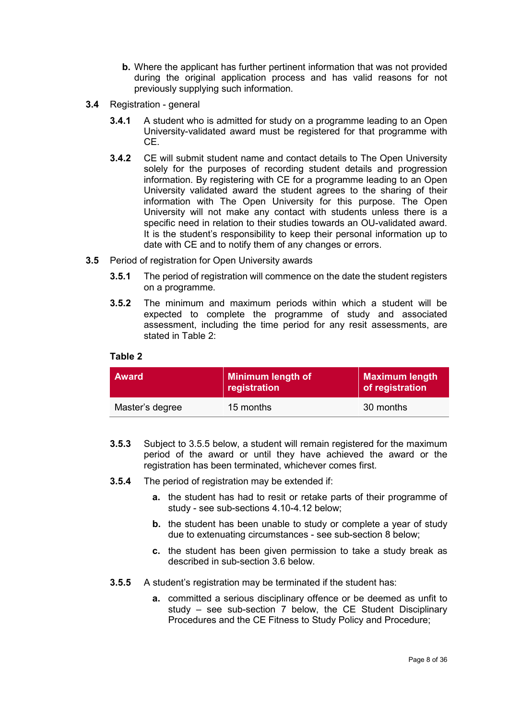- **b.** Where the applicant has further pertinent information that was not provided during the original application process and has valid reasons for not previously supplying such information.
- **3.4** Registration general
	- **3.4.1** A student who is admitted for study on a programme leading to an Open University-validated award must be registered for that programme with CE.
	- **3.4.2** CE will submit student name and contact details to The Open University solely for the purposes of recording student details and progression information. By registering with CE for a programme leading to an Open University validated award the student agrees to the sharing of their information with The Open University for this purpose. The Open University will not make any contact with students unless there is a specific need in relation to their studies towards an OU-validated award. It is the student's responsibility to keep their personal information up to date with CE and to notify them of any changes or errors.
- **3.5** Period of registration for Open University awards
	- **3.5.1** The period of registration will commence on the date the student registers on a programme.
	- **3.5.2** The minimum and maximum periods within which a student will be expected to complete the programme of study and associated assessment, including the time period for any resit assessments, are stated in Table 2:

#### **Table 2**

| <b>Award</b>    | Minimum length of<br>registration | <b>Maximum length</b><br>of registration |
|-----------------|-----------------------------------|------------------------------------------|
| Master's degree | 15 months                         | 30 months                                |

- **3.5.3** Subject to 3.5.5 below, a student will remain registered for the maximum period of the award or until they have achieved the award or the registration has been terminated, whichever comes first.
- **3.5.4** The period of registration may be extended if:
	- **a.** the student has had to resit or retake parts of their programme of study - see sub-sections 4.10-4.12 below;
	- **b.** the student has been unable to study or complete a year of study due to extenuating circumstances - see sub-section 8 below;
	- **c.** the student has been given permission to take a study break as described in sub-section 3.6 below.
- **3.5.5** A student's registration may be terminated if the student has:
	- **a.** committed a serious disciplinary offence or be deemed as unfit to study – see sub-section 7 below, the CE Student Disciplinary Procedures and the CE Fitness to Study Policy and Procedure;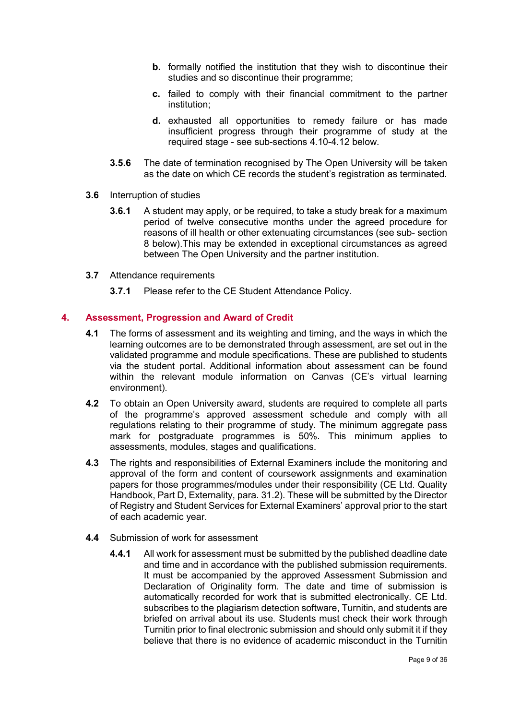- **b.** formally notified the institution that they wish to discontinue their studies and so discontinue their programme;
- **c.** failed to comply with their financial commitment to the partner institution;
- **d.** exhausted all opportunities to remedy failure or has made insufficient progress through their programme of study at the required stage - see sub-sections 4.10-4.12 below.
- **3.5.6** The date of termination recognised by The Open University will be taken as the date on which CE records the student's registration as terminated.
- **3.6** Interruption of studies
	- **3.6.1** A student may apply, or be required, to take a study break for a maximum period of twelve consecutive months under the agreed procedure for reasons of ill health or other extenuating circumstances (see sub- section 8 below).This may be extended in exceptional circumstances as agreed between The Open University and the partner institution.
- **3.7** Attendance requirements
	- **3.7.1** Please refer to the CE Student Attendance Policy.

#### <span id="page-10-0"></span>**4. Assessment, Progression and Award of Credit**

- **4.1** The forms of assessment and its weighting and timing, and the ways in which the learning outcomes are to be demonstrated through assessment, are set out in the validated programme and module specifications. These are published to students via the student portal. Additional information about assessment can be found within the relevant module information on Canvas (CE's virtual learning environment).
- **4.2** To obtain an Open University award, students are required to complete all parts of the programme's approved assessment schedule and comply with all regulations relating to their programme of study. The minimum aggregate pass mark for postgraduate programmes is 50%. This minimum applies to assessments, modules, stages and qualifications.
- **4.3** The rights and responsibilities of External Examiners include the monitoring and approval of the form and content of coursework assignments and examination papers for those programmes/modules under their responsibility (CE Ltd. Quality Handbook, Part D, Externality, para. 31.2). These will be submitted by the Director of Registry and Student Services for External Examiners' approval prior to the start of each academic year.
- **4.4** Submission of work for assessment
	- **4.4.1** All work for assessment must be submitted by the published deadline date and time and in accordance with the published submission requirements. It must be accompanied by the approved Assessment Submission and Declaration of Originality form. The date and time of submission is automatically recorded for work that is submitted electronically. CE Ltd. subscribes to the plagiarism detection software, Turnitin, and students are briefed on arrival about its use. Students must check their work through Turnitin prior to final electronic submission and should only submit it if they believe that there is no evidence of academic misconduct in the Turnitin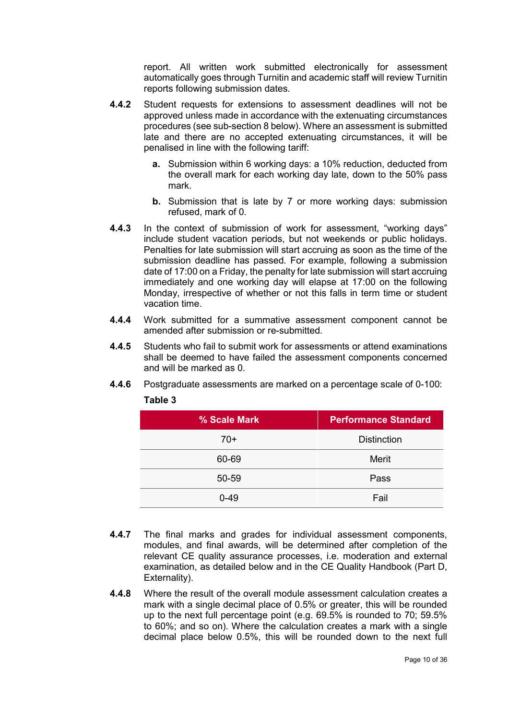report. All written work submitted electronically for assessment automatically goes through Turnitin and academic staff will review Turnitin reports following submission dates.

- **4.4.2** Student requests for extensions to assessment deadlines will not be approved unless made in accordance with the extenuating circumstances procedures (see sub-section 8 below). Where an assessment is submitted late and there are no accepted extenuating circumstances, it will be penalised in line with the following tariff:
	- **a.** Submission within 6 working days: a 10% reduction, deducted from the overall mark for each working day late, down to the 50% pass mark.
	- **b.** Submission that is late by 7 or more working days: submission refused, mark of 0.
- **4.4.3** In the context of submission of work for assessment, "working days" include student vacation periods, but not weekends or public holidays. Penalties for late submission will start accruing as soon as the time of the submission deadline has passed. For example, following a submission date of 17:00 on a Friday, the penalty for late submission will start accruing immediately and one working day will elapse at 17:00 on the following Monday, irrespective of whether or not this falls in term time or student vacation time.
- **4.4.4** Work submitted for a summative assessment component cannot be amended after submission or re-submitted.
- **4.4.5** Students who fail to submit work for assessments or attend examinations shall be deemed to have failed the assessment components concerned and will be marked as 0.
- **4.4.6** Postgraduate assessments are marked on a percentage scale of 0-100:

| % Scale Mark | <b>Performance Standard</b> |
|--------------|-----------------------------|
| $70+$        | <b>Distinction</b>          |
| 60-69        | Merit                       |
| 50-59        | Pass                        |
| $0 - 49$     | Fail                        |

#### **Table 3**

- **4.4.7** The final marks and grades for individual assessment components, modules, and final awards, will be determined after completion of the relevant CE quality assurance processes, i.e. moderation and external examination, as detailed below and in the CE Quality Handbook (Part D, Externality).
- **4.4.8** Where the result of the overall module assessment calculation creates a mark with a single decimal place of 0.5% or greater, this will be rounded up to the next full percentage point (e.g. 69.5% is rounded to 70; 59.5% to 60%; and so on). Where the calculation creates a mark with a single decimal place below 0.5%, this will be rounded down to the next full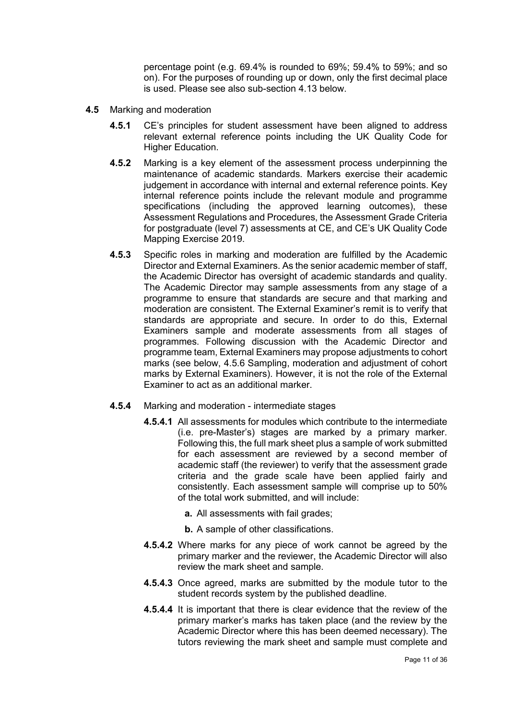percentage point (e.g. 69.4% is rounded to 69%; 59.4% to 59%; and so on). For the purposes of rounding up or down, only the first decimal place is used. Please see also sub-section 4.13 below.

- **4.5** Marking and moderation
	- **4.5.1** CE's principles for student assessment have been aligned to address relevant external reference points including the UK Quality Code for Higher Education.
	- **4.5.2** Marking is a key element of the assessment process underpinning the maintenance of academic standards. Markers exercise their academic judgement in accordance with internal and external reference points. Key internal reference points include the relevant module and programme specifications (including the approved learning outcomes), these Assessment Regulations and Procedures, the Assessment Grade Criteria for postgraduate (level 7) assessments at CE, and CE's UK Quality Code Mapping Exercise 2019.
	- **4.5.3** Specific roles in marking and moderation are fulfilled by the Academic Director and External Examiners. As the senior academic member of staff, the Academic Director has oversight of academic standards and quality. The Academic Director may sample assessments from any stage of a programme to ensure that standards are secure and that marking and moderation are consistent. The External Examiner's remit is to verify that standards are appropriate and secure. In order to do this, External Examiners sample and moderate assessments from all stages of programmes. Following discussion with the Academic Director and programme team, External Examiners may propose adjustments to cohort marks (see below, 4.5.6 Sampling, moderation and adjustment of cohort marks by External Examiners). However, it is not the role of the External Examiner to act as an additional marker.
	- **4.5.4** Marking and moderation intermediate stages
		- **4.5.4.1** All assessments for modules which contribute to the intermediate (i.e. pre-Master's) stages are marked by a primary marker. Following this, the full mark sheet plus a sample of work submitted for each assessment are reviewed by a second member of academic staff (the reviewer) to verify that the assessment grade criteria and the grade scale have been applied fairly and consistently. Each assessment sample will comprise up to 50% of the total work submitted, and will include:
			- **a.** All assessments with fail grades;
			- **b.** A sample of other classifications.
		- **4.5.4.2** Where marks for any piece of work cannot be agreed by the primary marker and the reviewer, the Academic Director will also review the mark sheet and sample.
		- **4.5.4.3** Once agreed, marks are submitted by the module tutor to the student records system by the published deadline.
		- **4.5.4.4** It is important that there is clear evidence that the review of the primary marker's marks has taken place (and the review by the Academic Director where this has been deemed necessary). The tutors reviewing the mark sheet and sample must complete and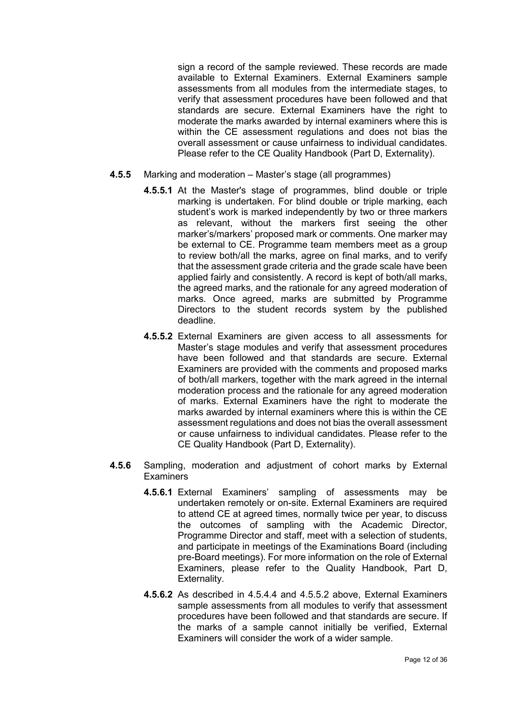sign a record of the sample reviewed. These records are made available to External Examiners. External Examiners sample assessments from all modules from the intermediate stages, to verify that assessment procedures have been followed and that standards are secure. External Examiners have the right to moderate the marks awarded by internal examiners where this is within the CE assessment regulations and does not bias the overall assessment or cause unfairness to individual candidates. Please refer to the CE Quality Handbook (Part D, Externality).

- **4.5.5** Marking and moderation Master's stage (all programmes)
	- **4.5.5.1** At the Master's stage of programmes, blind double or triple marking is undertaken. For blind double or triple marking, each student's work is marked independently by two or three markers as relevant, without the markers first seeing the other marker's/markers' proposed mark or comments. One marker may be external to CE. Programme team members meet as a group to review both/all the marks, agree on final marks, and to verify that the assessment grade criteria and the grade scale have been applied fairly and consistently. A record is kept of both/all marks, the agreed marks, and the rationale for any agreed moderation of marks. Once agreed, marks are submitted by Programme Directors to the student records system by the published deadline.
	- **4.5.5.2** External Examiners are given access to all assessments for Master's stage modules and verify that assessment procedures have been followed and that standards are secure. External Examiners are provided with the comments and proposed marks of both/all markers, together with the mark agreed in the internal moderation process and the rationale for any agreed moderation of marks. External Examiners have the right to moderate the marks awarded by internal examiners where this is within the CE assessment regulations and does not bias the overall assessment or cause unfairness to individual candidates. Please refer to the CE Quality Handbook (Part D, Externality).
- **4.5.6** Sampling, moderation and adjustment of cohort marks by External **Examiners** 
	- **4.5.6.1** External Examiners' sampling of assessments may be undertaken remotely or on-site. External Examiners are required to attend CE at agreed times, normally twice per year, to discuss the outcomes of sampling with the Academic Director, Programme Director and staff, meet with a selection of students, and participate in meetings of the Examinations Board (including pre-Board meetings). For more information on the role of External Examiners, please refer to the Quality Handbook, Part D, Externality.
	- **4.5.6.2** As described in 4.5.4.4 and 4.5.5.2 above, External Examiners sample assessments from all modules to verify that assessment procedures have been followed and that standards are secure. If the marks of a sample cannot initially be verified, External Examiners will consider the work of a wider sample.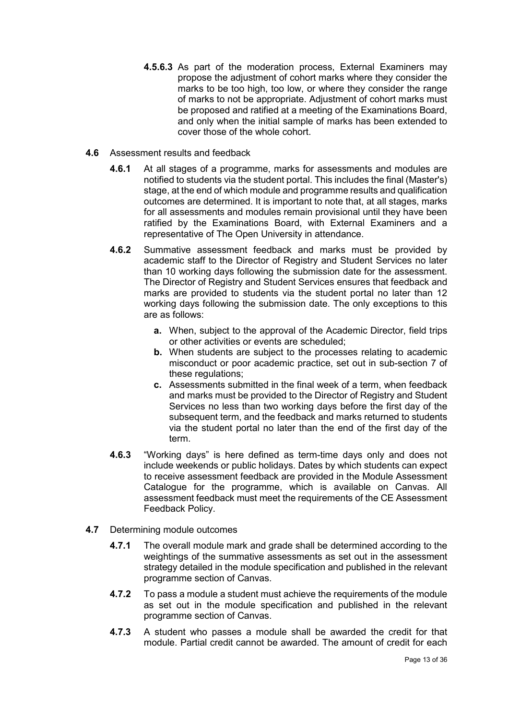- **4.5.6.3** As part of the moderation process, External Examiners may propose the adjustment of cohort marks where they consider the marks to be too high, too low, or where they consider the range of marks to not be appropriate. Adjustment of cohort marks must be proposed and ratified at a meeting of the Examinations Board, and only when the initial sample of marks has been extended to cover those of the whole cohort.
- **4.6** Assessment results and feedback
	- **4.6.1** At all stages of a programme, marks for assessments and modules are notified to students via the student portal. This includes the final (Master's) stage, at the end of which module and programme results and qualification outcomes are determined. It is important to note that, at all stages, marks for all assessments and modules remain provisional until they have been ratified by the Examinations Board, with External Examiners and a representative of The Open University in attendance.
	- **4.6.2** Summative assessment feedback and marks must be provided by academic staff to the Director of Registry and Student Services no later than 10 working days following the submission date for the assessment. The Director of Registry and Student Services ensures that feedback and marks are provided to students via the student portal no later than 12 working days following the submission date. The only exceptions to this are as follows:
		- **a.** When, subject to the approval of the Academic Director, field trips or other activities or events are scheduled;
		- **b.** When students are subject to the processes relating to academic misconduct or poor academic practice, set out in sub-section 7 of these regulations;
		- **c.** Assessments submitted in the final week of a term, when feedback and marks must be provided to the Director of Registry and Student Services no less than two working days before the first day of the subsequent term, and the feedback and marks returned to students via the student portal no later than the end of the first day of the term.
	- **4.6.3** "Working days" is here defined as term-time days only and does not include weekends or public holidays. Dates by which students can expect to receive assessment feedback are provided in the Module Assessment Catalogue for the programme, which is available on Canvas. All assessment feedback must meet the requirements of the CE Assessment Feedback Policy.
- **4.7** Determining module outcomes
	- **4.7.1** The overall module mark and grade shall be determined according to the weightings of the summative assessments as set out in the assessment strategy detailed in the module specification and published in the relevant programme section of Canvas.
	- **4.7.2** To pass a module a student must achieve the requirements of the module as set out in the module specification and published in the relevant programme section of Canvas.
	- **4.7.3** A student who passes a module shall be awarded the credit for that module. Partial credit cannot be awarded. The amount of credit for each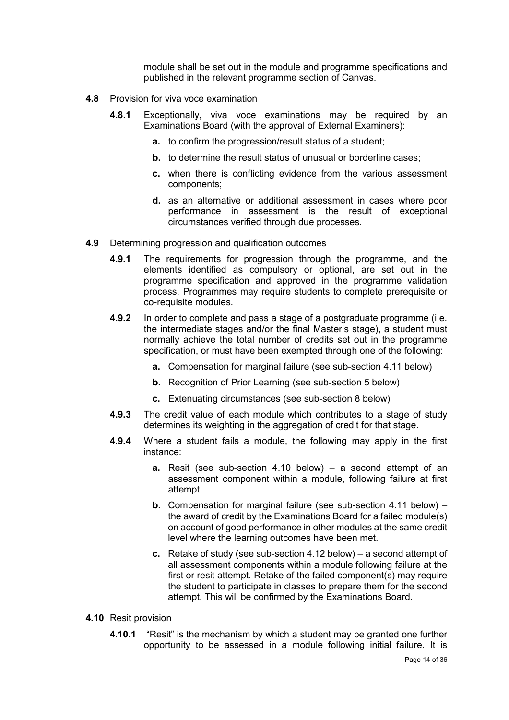module shall be set out in the module and programme specifications and published in the relevant programme section of Canvas.

- **4.8** Provision for viva voce examination
	- **4.8.1** Exceptionally, viva voce examinations may be required by an Examinations Board (with the approval of External Examiners):
		- **a.** to confirm the progression/result status of a student;
		- **b.** to determine the result status of unusual or borderline cases:
		- **c.** when there is conflicting evidence from the various assessment components;
		- **d.** as an alternative or additional assessment in cases where poor performance in assessment is the result of exceptional circumstances verified through due processes.
- **4.9** Determining progression and qualification outcomes
	- **4.9.1** The requirements for progression through the programme, and the elements identified as compulsory or optional, are set out in the programme specification and approved in the programme validation process. Programmes may require students to complete prerequisite or co-requisite modules.
	- **4.9.2** In order to complete and pass a stage of a postgraduate programme (i.e. the intermediate stages and/or the final Master's stage), a student must normally achieve the total number of credits set out in the programme specification, or must have been exempted through one of the following:
		- **a.** Compensation for marginal failure (see sub-section 4.11 below)
		- **b.** Recognition of Prior Learning (see sub-section 5 below)
		- **c.** Extenuating circumstances (see sub-section 8 below)
	- **4.9.3** The credit value of each module which contributes to a stage of study determines its weighting in the aggregation of credit for that stage.
	- **4.9.4** Where a student fails a module, the following may apply in the first instance:
		- **a.** Resit (see sub-section 4.10 below) a second attempt of an assessment component within a module, following failure at first attempt
		- **b.** Compensation for marginal failure (see sub-section 4.11 below) the award of credit by the Examinations Board for a failed module(s) on account of good performance in other modules at the same credit level where the learning outcomes have been met.
		- **c.** Retake of study (see sub-section 4.12 below) a second attempt of all assessment components within a module following failure at the first or resit attempt. Retake of the failed component(s) may require the student to participate in classes to prepare them for the second attempt. This will be confirmed by the Examinations Board.
- **4.10** Resit provision
	- **4.10.1** "Resit" is the mechanism by which a student may be granted one further opportunity to be assessed in a module following initial failure. It is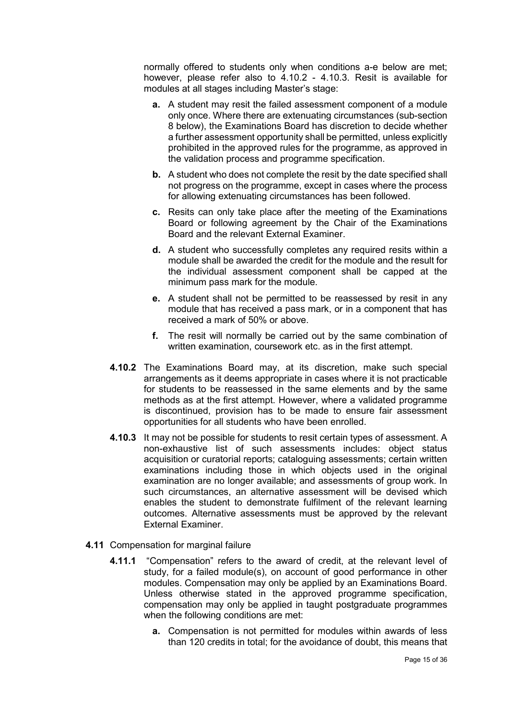normally offered to students only when conditions a-e below are met; however, please refer also to 4.10.2 - 4.10.3. Resit is available for modules at all stages including Master's stage:

- **a.** A student may resit the failed assessment component of a module only once. Where there are extenuating circumstances (sub-section 8 below), the Examinations Board has discretion to decide whether a further assessment opportunity shall be permitted, unless explicitly prohibited in the approved rules for the programme, as approved in the validation process and programme specification.
- **b.** A student who does not complete the resit by the date specified shall not progress on the programme, except in cases where the process for allowing extenuating circumstances has been followed.
- **c.** Resits can only take place after the meeting of the Examinations Board or following agreement by the Chair of the Examinations Board and the relevant External Examiner.
- **d.** A student who successfully completes any required resits within a module shall be awarded the credit for the module and the result for the individual assessment component shall be capped at the minimum pass mark for the module.
- **e.** A student shall not be permitted to be reassessed by resit in any module that has received a pass mark, or in a component that has received a mark of 50% or above.
- **f.** The resit will normally be carried out by the same combination of written examination, coursework etc. as in the first attempt.
- **4.10.2** The Examinations Board may, at its discretion, make such special arrangements as it deems appropriate in cases where it is not practicable for students to be reassessed in the same elements and by the same methods as at the first attempt. However, where a validated programme is discontinued, provision has to be made to ensure fair assessment opportunities for all students who have been enrolled.
- **4.10.3** It may not be possible for students to resit certain types of assessment. A non-exhaustive list of such assessments includes: object status acquisition or curatorial reports; cataloguing assessments; certain written examinations including those in which objects used in the original examination are no longer available; and assessments of group work. In such circumstances, an alternative assessment will be devised which enables the student to demonstrate fulfilment of the relevant learning outcomes. Alternative assessments must be approved by the relevant External Examiner.
- **4.11** Compensation for marginal failure
	- **4.11.1** "Compensation" refers to the award of credit, at the relevant level of study, for a failed module(s), on account of good performance in other modules. Compensation may only be applied by an Examinations Board. Unless otherwise stated in the approved programme specification, compensation may only be applied in taught postgraduate programmes when the following conditions are met:
		- **a.** Compensation is not permitted for modules within awards of less than 120 credits in total; for the avoidance of doubt, this means that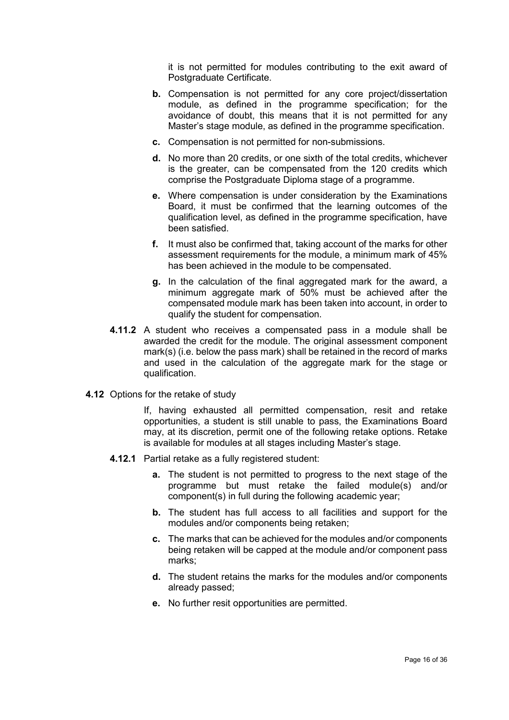it is not permitted for modules contributing to the exit award of Postgraduate Certificate.

- **b.** Compensation is not permitted for any core project/dissertation module, as defined in the programme specification; for the avoidance of doubt, this means that it is not permitted for any Master's stage module, as defined in the programme specification.
- **c.** Compensation is not permitted for non-submissions.
- **d.** No more than 20 credits, or one sixth of the total credits, whichever is the greater, can be compensated from the 120 credits which comprise the Postgraduate Diploma stage of a programme.
- **e.** Where compensation is under consideration by the Examinations Board, it must be confirmed that the learning outcomes of the qualification level, as defined in the programme specification, have been satisfied.
- **f.** It must also be confirmed that, taking account of the marks for other assessment requirements for the module, a minimum mark of 45% has been achieved in the module to be compensated.
- **g.** In the calculation of the final aggregated mark for the award, a minimum aggregate mark of 50% must be achieved after the compensated module mark has been taken into account, in order to qualify the student for compensation.
- **4.11.2** A student who receives a compensated pass in a module shall be awarded the credit for the module. The original assessment component mark(s) (i.e. below the pass mark) shall be retained in the record of marks and used in the calculation of the aggregate mark for the stage or qualification.
- **4.12** Options for the retake of study

If, having exhausted all permitted compensation, resit and retake opportunities, a student is still unable to pass, the Examinations Board may, at its discretion, permit one of the following retake options. Retake is available for modules at all stages including Master's stage.

- **4.12.1** Partial retake as a fully registered student:
	- **a.** The student is not permitted to progress to the next stage of the programme but must retake the failed module(s) and/or component(s) in full during the following academic year;
	- **b.** The student has full access to all facilities and support for the modules and/or components being retaken;
	- **c.** The marks that can be achieved for the modules and/or components being retaken will be capped at the module and/or component pass marks;
	- **d.** The student retains the marks for the modules and/or components already passed;
	- **e.** No further resit opportunities are permitted.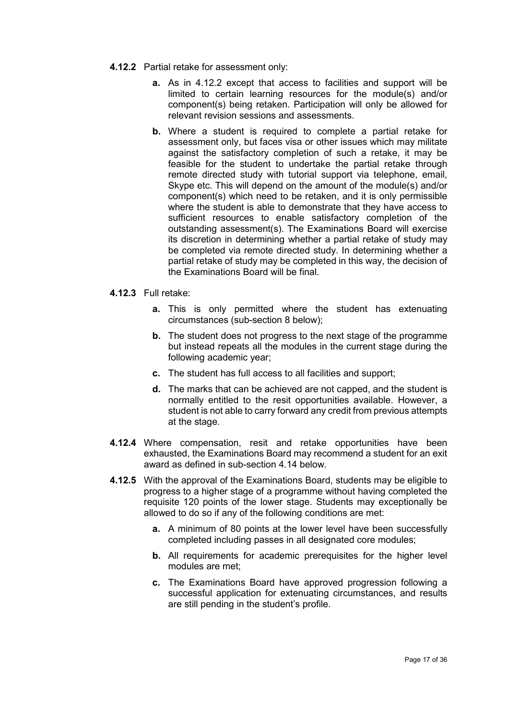- **4.12.2** Partial retake for assessment only:
	- **a.** As in 4.12.2 except that access to facilities and support will be limited to certain learning resources for the module(s) and/or component(s) being retaken. Participation will only be allowed for relevant revision sessions and assessments.
	- **b.** Where a student is required to complete a partial retake for assessment only, but faces visa or other issues which may militate against the satisfactory completion of such a retake, it may be feasible for the student to undertake the partial retake through remote directed study with tutorial support via telephone, email, Skype etc. This will depend on the amount of the module(s) and/or component(s) which need to be retaken, and it is only permissible where the student is able to demonstrate that they have access to sufficient resources to enable satisfactory completion of the outstanding assessment(s). The Examinations Board will exercise its discretion in determining whether a partial retake of study may be completed via remote directed study. In determining whether a partial retake of study may be completed in this way, the decision of the Examinations Board will be final.
- **4.12.3** Full retake:
	- **a.** This is only permitted where the student has extenuating circumstances (sub-section 8 below);
	- **b.** The student does not progress to the next stage of the programme but instead repeats all the modules in the current stage during the following academic year;
	- **c.** The student has full access to all facilities and support;
	- **d.** The marks that can be achieved are not capped, and the student is normally entitled to the resit opportunities available. However, a student is not able to carry forward any credit from previous attempts at the stage.
- **4.12.4** Where compensation, resit and retake opportunities have been exhausted, the Examinations Board may recommend a student for an exit award as defined in sub-section 4.14 below.
- **4.12.5** With the approval of the Examinations Board, students may be eligible to progress to a higher stage of a programme without having completed the requisite 120 points of the lower stage. Students may exceptionally be allowed to do so if any of the following conditions are met:
	- **a.** A minimum of 80 points at the lower level have been successfully completed including passes in all designated core modules;
	- **b.** All requirements for academic prerequisites for the higher level modules are met;
	- **c.** The Examinations Board have approved progression following a successful application for extenuating circumstances, and results are still pending in the student's profile.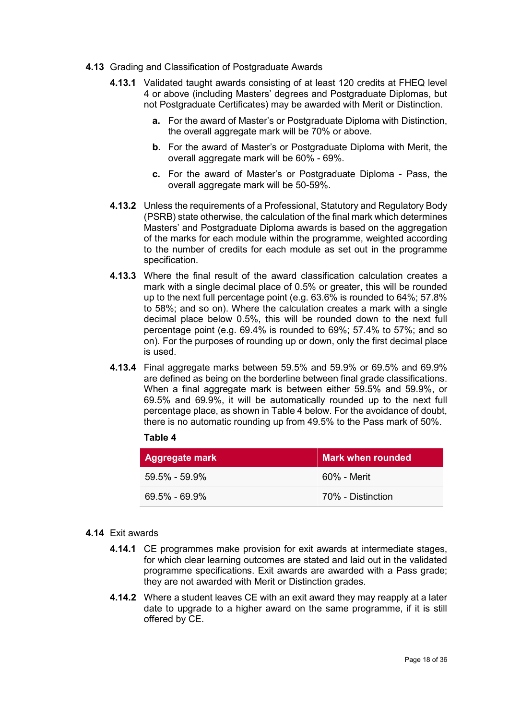- **4.13** Grading and Classification of Postgraduate Awards
	- **4.13.1** Validated taught awards consisting of at least 120 credits at FHEQ level 4 or above (including Masters' degrees and Postgraduate Diplomas, but not Postgraduate Certificates) may be awarded with Merit or Distinction.
		- **a.** For the award of Master's or Postgraduate Diploma with Distinction, the overall aggregate mark will be 70% or above.
		- **b.** For the award of Master's or Postgraduate Diploma with Merit, the overall aggregate mark will be 60% - 69%.
		- **c.** For the award of Master's or Postgraduate Diploma Pass, the overall aggregate mark will be 50-59%.
	- **4.13.2** Unless the requirements of a Professional, Statutory and Regulatory Body (PSRB) state otherwise, the calculation of the final mark which determines Masters' and Postgraduate Diploma awards is based on the aggregation of the marks for each module within the programme, weighted according to the number of credits for each module as set out in the programme specification.
	- **4.13.3** Where the final result of the award classification calculation creates a mark with a single decimal place of 0.5% or greater, this will be rounded up to the next full percentage point (e.g. 63.6% is rounded to 64%; 57.8% to 58%; and so on). Where the calculation creates a mark with a single decimal place below 0.5%, this will be rounded down to the next full percentage point (e.g. 69.4% is rounded to 69%; 57.4% to 57%; and so on). For the purposes of rounding up or down, only the first decimal place is used.
	- **4.13.4** Final aggregate marks between 59.5% and 59.9% or 69.5% and 69.9% are defined as being on the borderline between final grade classifications. When a final aggregate mark is between either 59.5% and 59.9%, or 69.5% and 69.9%, it will be automatically rounded up to the next full percentage place, as shown in Table 4 below. For the avoidance of doubt, there is no automatic rounding up from 49.5% to the Pass mark of 50%.

| <b>able</b><br>4 |
|------------------|
|------------------|

| Aggregate mark    | Mark when rounded |
|-------------------|-------------------|
| $59.5\% - 59.9\%$ | 60% - Merit       |
| $69.5\% - 69.9\%$ | 70% - Distinction |

#### **4.14** Exit awards

- **4.14.1** CE programmes make provision for exit awards at intermediate stages, for which clear learning outcomes are stated and laid out in the validated programme specifications. Exit awards are awarded with a Pass grade; they are not awarded with Merit or Distinction grades.
- **4.14.2** Where a student leaves CE with an exit award they may reapply at a later date to upgrade to a higher award on the same programme, if it is still offered by CE.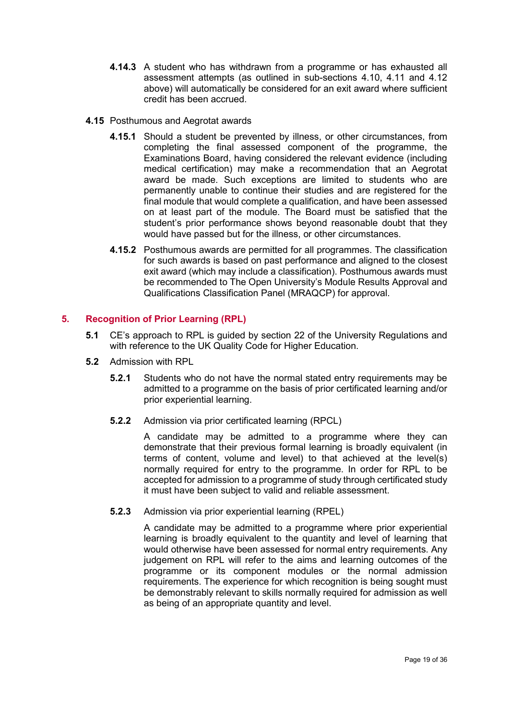- **4.14.3** A student who has withdrawn from a programme or has exhausted all assessment attempts (as outlined in sub-sections 4.10, 4.11 and 4.12 above) will automatically be considered for an exit award where sufficient credit has been accrued.
- **4.15** Posthumous and Aegrotat awards
	- **4.15.1** Should a student be prevented by illness, or other circumstances, from completing the final assessed component of the programme, the Examinations Board, having considered the relevant evidence (including medical certification) may make a recommendation that an Aegrotat award be made. Such exceptions are limited to students who are permanently unable to continue their studies and are registered for the final module that would complete a qualification, and have been assessed on at least part of the module. The Board must be satisfied that the student's prior performance shows beyond reasonable doubt that they would have passed but for the illness, or other circumstances.
	- **4.15.2** Posthumous awards are permitted for all programmes. The classification for such awards is based on past performance and aligned to the closest exit award (which may include a classification). Posthumous awards must be recommended to The Open University's Module Results Approval and Qualifications Classification Panel (MRAQCP) for approval.

# <span id="page-20-0"></span>**5. Recognition of Prior Learning (RPL)**

- **5.1** CE's approach to RPL is guided by section 22 of the University Regulations and with reference to the UK Quality Code for Higher Education.
- **5.2** Admission with RPL
	- **5.2.1** Students who do not have the normal stated entry requirements may be admitted to a programme on the basis of prior certificated learning and/or prior experiential learning.
	- **5.2.2** Admission via prior certificated learning (RPCL)

A candidate may be admitted to a programme where they can demonstrate that their previous formal learning is broadly equivalent (in terms of content, volume and level) to that achieved at the level(s) normally required for entry to the programme. In order for RPL to be accepted for admission to a programme of study through certificated study it must have been subject to valid and reliable assessment.

**5.2.3** Admission via prior experiential learning (RPEL)

A candidate may be admitted to a programme where prior experiential learning is broadly equivalent to the quantity and level of learning that would otherwise have been assessed for normal entry requirements. Any judgement on RPL will refer to the aims and learning outcomes of the programme or its component modules or the normal admission requirements. The experience for which recognition is being sought must be demonstrably relevant to skills normally required for admission as well as being of an appropriate quantity and level.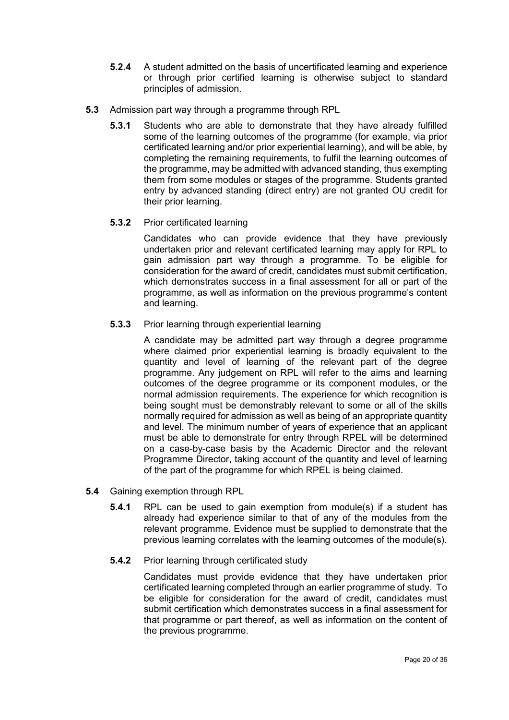- **5.2.4** A student admitted on the basis of uncertificated learning and experience or through prior certified learning is otherwise subject to standard principles of admission.
- **5.3** Admission part way through a programme through RPL
	- **5.3.1** Students who are able to demonstrate that they have already fulfilled some of the learning outcomes of the programme (for example, via prior certificated learning and/or prior experiential learning), and will be able, by completing the remaining requirements, to fulfil the learning outcomes of the programme, may be admitted with advanced standing, thus exempting them from some modules or stages of the programme. Students granted entry by advanced standing (direct entry) are not granted OU credit for their prior learning.
	- **5.3.2** Prior certificated learning

Candidates who can provide evidence that they have previously undertaken prior and relevant certificated learning may apply for RPL to gain admission part way through a programme. To be eligible for consideration for the award of credit, candidates must submit certification, which demonstrates success in a final assessment for all or part of the programme, as well as information on the previous programme's content and learning.

**5.3.3** Prior learning through experiential learning

A candidate may be admitted part way through a degree programme where claimed prior experiential learning is broadly equivalent to the quantity and level of learning of the relevant part of the degree programme. Any judgement on RPL will refer to the aims and learning outcomes of the degree programme or its component modules, or the normal admission requirements. The experience for which recognition is being sought must be demonstrably relevant to some or all of the skills normally required for admission as well as being of an appropriate quantity and level. The minimum number of years of experience that an applicant must be able to demonstrate for entry through RPEL will be determined on a case-by-case basis by the Academic Director and the relevant Programme Director, taking account of the quantity and level of learning of the part of the programme for which RPEL is being claimed.

- **5.4** Gaining exemption through RPL
	- **5.4.1** RPL can be used to gain exemption from module(s) if a student has already had experience similar to that of any of the modules from the relevant programme. Evidence must be supplied to demonstrate that the previous learning correlates with the learning outcomes of the module(s).
	- **5.4.2** Prior learning through certificated study

Candidates must provide evidence that they have undertaken prior certificated learning completed through an earlier programme of study. To be eligible for consideration for the award of credit, candidates must submit certification which demonstrates success in a final assessment for that programme or part thereof, as well as information on the content of the previous programme.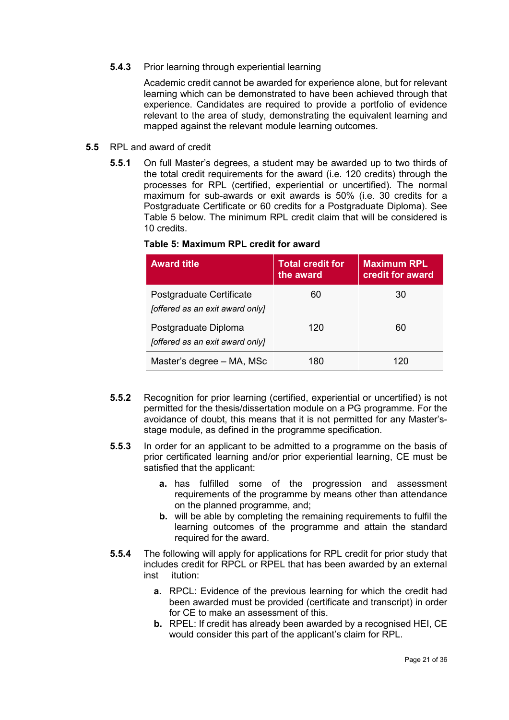**5.4.3** Prior learning through experiential learning

Academic credit cannot be awarded for experience alone, but for relevant learning which can be demonstrated to have been achieved through that experience. Candidates are required to provide a portfolio of evidence relevant to the area of study, demonstrating the equivalent learning and mapped against the relevant module learning outcomes.

- **5.5** RPL and award of credit
	- **5.5.1** On full Master's degrees, a student may be awarded up to two thirds of the total credit requirements for the award (i.e. 120 credits) through the processes for RPL (certified, experiential or uncertified). The normal maximum for sub-awards or exit awards is 50% (i.e. 30 credits for a Postgraduate Certificate or 60 credits for a Postgraduate Diploma). See Table 5 below. The minimum RPL credit claim that will be considered is 10 credits.

| <b>Award title</b>                                          | <b>Total credit for</b><br>the award | <b>Maximum RPL</b><br>credit for award |
|-------------------------------------------------------------|--------------------------------------|----------------------------------------|
| Postgraduate Certificate<br>[offered as an exit award only] | 60                                   | 30                                     |
| Postgraduate Diploma<br>[offered as an exit award only]     | 120                                  | 60                                     |
| Master's degree - MA, MSc                                   | 180                                  | 120                                    |

#### **Table 5: Maximum RPL credit for award**

- **5.5.2** Recognition for prior learning (certified, experiential or uncertified) is not permitted for the thesis/dissertation module on a PG programme. For the avoidance of doubt, this means that it is not permitted for any Master'sstage module, as defined in the programme specification.
- **5.5.3** In order for an applicant to be admitted to a programme on the basis of prior certificated learning and/or prior experiential learning, CE must be satisfied that the applicant:
	- **a.** has fulfilled some of the progression and assessment requirements of the programme by means other than attendance on the planned programme, and;
	- **b.** will be able by completing the remaining requirements to fulfil the learning outcomes of the programme and attain the standard required for the award.
- **5.5.4** The following will apply for applications for RPL credit for prior study that includes credit for RPCL or RPEL that has been awarded by an external inst itution:
	- **a.** RPCL: Evidence of the previous learning for which the credit had been awarded must be provided (certificate and transcript) in order for CE to make an assessment of this.
	- **b.** RPEL: If credit has already been awarded by a recognised HEI, CE would consider this part of the applicant's claim for RPL.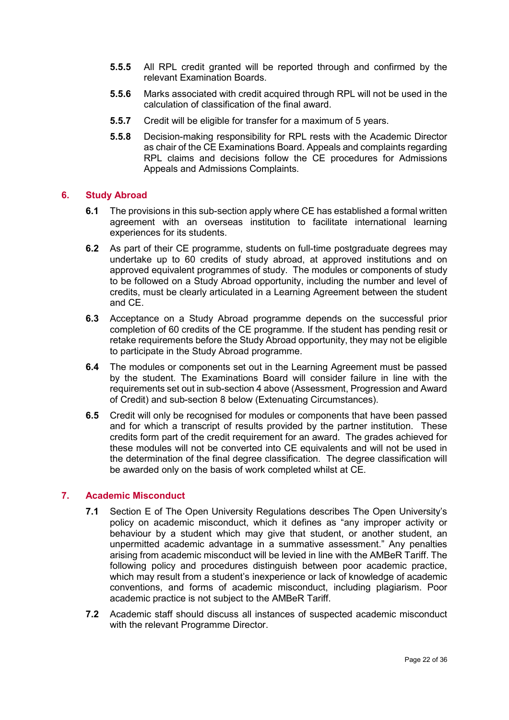- **5.5.5** All RPL credit granted will be reported through and confirmed by the relevant Examination Boards.
- **5.5.6** Marks associated with credit acquired through RPL will not be used in the calculation of classification of the final award.
- **5.5.7** Credit will be eligible for transfer for a maximum of 5 years.
- **5.5.8** Decision-making responsibility for RPL rests with the Academic Director as chair of the CE Examinations Board. Appeals and complaints regarding RPL claims and decisions follow the CE procedures for Admissions Appeals and Admissions Complaints.

#### <span id="page-23-0"></span>**6. Study Abroad**

- **6.1** The provisions in this sub-section apply where CE has established a formal written agreement with an overseas institution to facilitate international learning experiences for its students.
- **6.2** As part of their CE programme, students on full-time postgraduate degrees may undertake up to 60 credits of study abroad, at approved institutions and on approved equivalent programmes of study. The modules or components of study to be followed on a Study Abroad opportunity, including the number and level of credits, must be clearly articulated in a Learning Agreement between the student and CE.
- **6.3** Acceptance on a Study Abroad programme depends on the successful prior completion of 60 credits of the CE programme. If the student has pending resit or retake requirements before the Study Abroad opportunity, they may not be eligible to participate in the Study Abroad programme.
- **6.4** The modules or components set out in the Learning Agreement must be passed by the student. The Examinations Board will consider failure in line with the requirements set out in sub-section 4 above (Assessment, Progression and Award of Credit) and sub-section 8 below (Extenuating Circumstances).
- **6.5** Credit will only be recognised for modules or components that have been passed and for which a transcript of results provided by the partner institution. These credits form part of the credit requirement for an award. The grades achieved for these modules will not be converted into CE equivalents and will not be used in the determination of the final degree classification. The degree classification will be awarded only on the basis of work completed whilst at CE.

# <span id="page-23-1"></span>**7. Academic Misconduct**

- **7.1** Section E of The Open University Regulations describes The Open University's policy on academic misconduct, which it defines as "any improper activity or behaviour by a student which may give that student, or another student, an unpermitted academic advantage in a summative assessment." Any penalties arising from academic misconduct will be levied in line with the AMBeR Tariff. The following policy and procedures distinguish between poor academic practice, which may result from a student's inexperience or lack of knowledge of academic conventions, and forms of academic misconduct, including plagiarism. Poor academic practice is not subject to the AMBeR Tariff.
- **7.2** Academic staff should discuss all instances of suspected academic misconduct with the relevant Programme Director.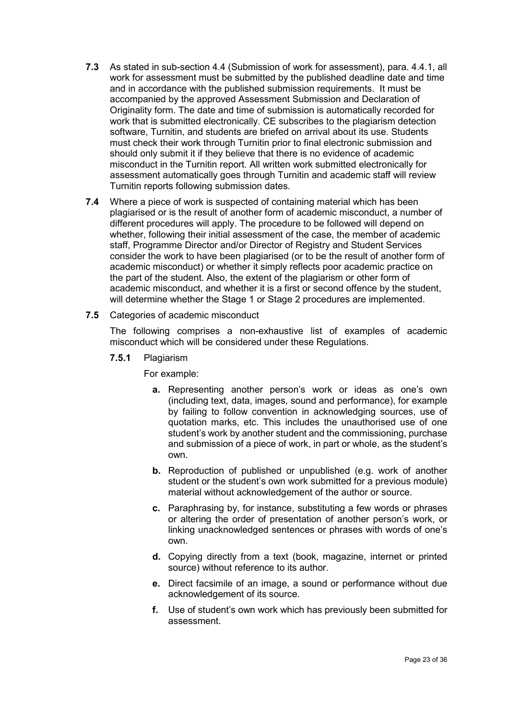- **7.3** As stated in sub-section 4.4 (Submission of work for assessment), para. 4.4.1, all work for assessment must be submitted by the published deadline date and time and in accordance with the published submission requirements. It must be accompanied by the approved Assessment Submission and Declaration of Originality form. The date and time of submission is automatically recorded for work that is submitted electronically. CE subscribes to the plagiarism detection software, Turnitin, and students are briefed on arrival about its use. Students must check their work through Turnitin prior to final electronic submission and should only submit it if they believe that there is no evidence of academic misconduct in the Turnitin report. All written work submitted electronically for assessment automatically goes through Turnitin and academic staff will review Turnitin reports following submission dates.
- **7.4** Where a piece of work is suspected of containing material which has been plagiarised or is the result of another form of academic misconduct, a number of different procedures will apply. The procedure to be followed will depend on whether, following their initial assessment of the case, the member of academic staff, Programme Director and/or Director of Registry and Student Services consider the work to have been plagiarised (or to be the result of another form of academic misconduct) or whether it simply reflects poor academic practice on the part of the student. Also, the extent of the plagiarism or other form of academic misconduct, and whether it is a first or second offence by the student, will determine whether the Stage 1 or Stage 2 procedures are implemented.
- **7.5** Categories of academic misconduct

The following comprises a non-exhaustive list of examples of academic misconduct which will be considered under these Regulations.

**7.5.1** Plagiarism

For example:

- **a.** Representing another person's work or ideas as one's own (including text, data, images, sound and performance), for example by failing to follow convention in acknowledging sources, use of quotation marks, etc. This includes the unauthorised use of one student's work by another student and the commissioning, purchase and submission of a piece of work, in part or whole, as the student's own.
- **b.** Reproduction of published or unpublished (e.g. work of another student or the student's own work submitted for a previous module) material without acknowledgement of the author or source.
- **c.** Paraphrasing by, for instance, substituting a few words or phrases or altering the order of presentation of another person's work, or linking unacknowledged sentences or phrases with words of one's own.
- **d.** Copying directly from a text (book, magazine, internet or printed source) without reference to its author.
- **e.** Direct facsimile of an image, a sound or performance without due acknowledgement of its source.
- **f.** Use of student's own work which has previously been submitted for assessment.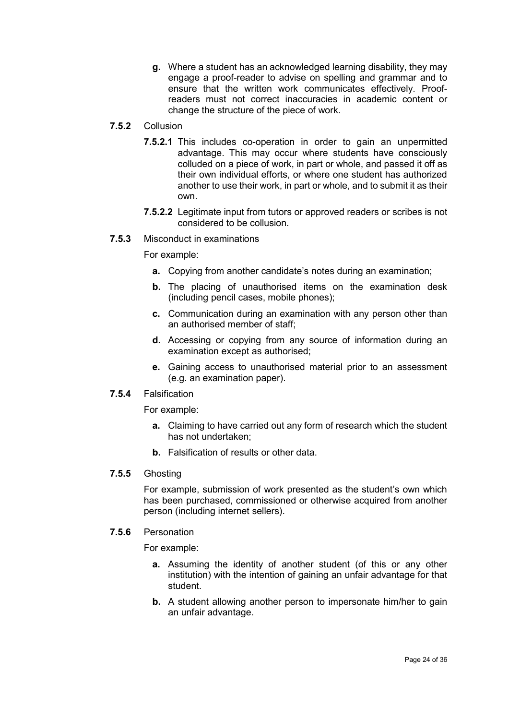**g.** Where a student has an acknowledged learning disability, they may engage a proof-reader to advise on spelling and grammar and to ensure that the written work communicates effectively. Proofreaders must not correct inaccuracies in academic content or change the structure of the piece of work.

# **7.5.2** Collusion

- **7.5.2.1** This includes co-operation in order to gain an unpermitted advantage. This may occur where students have consciously colluded on a piece of work, in part or whole, and passed it off as their own individual efforts, or where one student has authorized another to use their work, in part or whole, and to submit it as their own.
- **7.5.2.2** Legitimate input from tutors or approved readers or scribes is not considered to be collusion.
- **7.5.3** Misconduct in examinations

For example:

- **a.** Copying from another candidate's notes during an examination;
- **b.** The placing of unauthorised items on the examination desk (including pencil cases, mobile phones);
- **c.** Communication during an examination with any person other than an authorised member of staff;
- **d.** Accessing or copying from any source of information during an examination except as authorised;
- **e.** Gaining access to unauthorised material prior to an assessment (e.g. an examination paper).

#### **7.5.4** Falsification

For example:

- **a.** Claiming to have carried out any form of research which the student has not undertaken;
- **b.** Falsification of results or other data.

#### **7.5.5** Ghosting

For example, submission of work presented as the student's own which has been purchased, commissioned or otherwise acquired from another person (including internet sellers).

# **7.5.6** Personation

For example:

- **a.** Assuming the identity of another student (of this or any other institution) with the intention of gaining an unfair advantage for that student.
- **b.** A student allowing another person to impersonate him/her to gain an unfair advantage.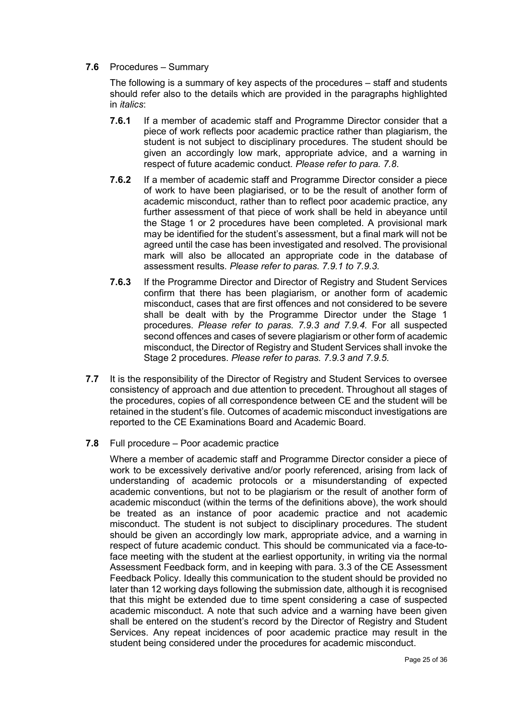**7.6** Procedures – Summary

The following is a summary of key aspects of the procedures – staff and students should refer also to the details which are provided in the paragraphs highlighted in *italics*:

- **7.6.1** If a member of academic staff and Programme Director consider that a piece of work reflects poor academic practice rather than plagiarism, the student is not subject to disciplinary procedures. The student should be given an accordingly low mark, appropriate advice, and a warning in respect of future academic conduct. *Please refer to para. 7.8*.
- **7.6.2** If a member of academic staff and Programme Director consider a piece of work to have been plagiarised, or to be the result of another form of academic misconduct, rather than to reflect poor academic practice, any further assessment of that piece of work shall be held in abeyance until the Stage 1 or 2 procedures have been completed. A provisional mark may be identified for the student's assessment, but a final mark will not be agreed until the case has been investigated and resolved. The provisional mark will also be allocated an appropriate code in the database of assessment results. *Please refer to paras. 7.9.1 to 7.9.3.*
- **7.6.3** If the Programme Director and Director of Registry and Student Services confirm that there has been plagiarism, or another form of academic misconduct, cases that are first offences and not considered to be severe shall be dealt with by the Programme Director under the Stage 1 procedures. *Please refer to paras. 7.9.3 and 7.9.4.* For all suspected second offences and cases of severe plagiarism or other form of academic misconduct, the Director of Registry and Student Services shall invoke the Stage 2 procedures. *Please refer to paras. 7.9.3 and 7.9.5*.
- **7.7** It is the responsibility of the Director of Registry and Student Services to oversee consistency of approach and due attention to precedent. Throughout all stages of the procedures, copies of all correspondence between CE and the student will be retained in the student's file. Outcomes of academic misconduct investigations are reported to the CE Examinations Board and Academic Board.
- **7.8** Full procedure Poor academic practice

Where a member of academic staff and Programme Director consider a piece of work to be excessively derivative and/or poorly referenced, arising from lack of understanding of academic protocols or a misunderstanding of expected academic conventions, but not to be plagiarism or the result of another form of academic misconduct (within the terms of the definitions above), the work should be treated as an instance of poor academic practice and not academic misconduct. The student is not subject to disciplinary procedures. The student should be given an accordingly low mark, appropriate advice, and a warning in respect of future academic conduct. This should be communicated via a face-toface meeting with the student at the earliest opportunity, in writing via the normal Assessment Feedback form, and in keeping with para. 3.3 of the CE Assessment Feedback Policy. Ideally this communication to the student should be provided no later than 12 working days following the submission date, although it is recognised that this might be extended due to time spent considering a case of suspected academic misconduct. A note that such advice and a warning have been given shall be entered on the student's record by the Director of Registry and Student Services. Any repeat incidences of poor academic practice may result in the student being considered under the procedures for academic misconduct.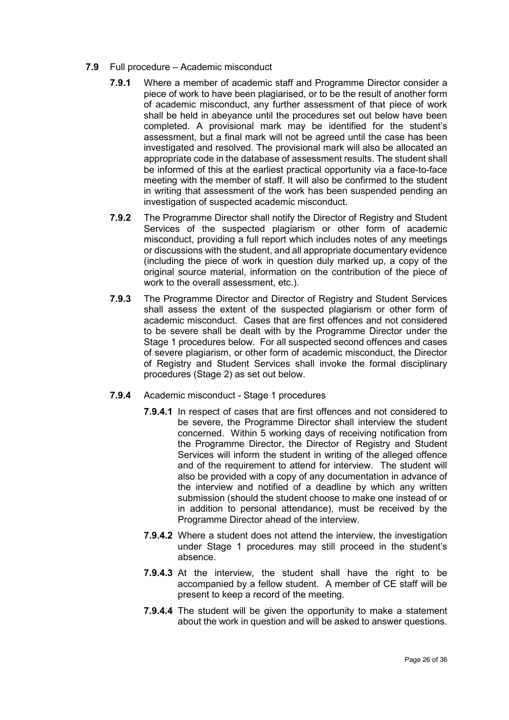- **7.9** Full procedure Academic misconduct
	- **7.9.1** Where a member of academic staff and Programme Director consider a piece of work to have been plagiarised, or to be the result of another form of academic misconduct, any further assessment of that piece of work shall be held in abeyance until the procedures set out below have been completed. A provisional mark may be identified for the student's assessment, but a final mark will not be agreed until the case has been investigated and resolved. The provisional mark will also be allocated an appropriate code in the database of assessment results. The student shall be informed of this at the earliest practical opportunity via a face-to-face meeting with the member of staff. It will also be confirmed to the student in writing that assessment of the work has been suspended pending an investigation of suspected academic misconduct.
	- **7.9.2** The Programme Director shall notify the Director of Registry and Student Services of the suspected plagiarism or other form of academic misconduct, providing a full report which includes notes of any meetings or discussions with the student, and all appropriate documentary evidence (including the piece of work in question duly marked up, a copy of the original source material, information on the contribution of the piece of work to the overall assessment, etc.).
	- **7.9.3** The Programme Director and Director of Registry and Student Services shall assess the extent of the suspected plagiarism or other form of academic misconduct. Cases that are first offences and not considered to be severe shall be dealt with by the Programme Director under the Stage 1 procedures below. For all suspected second offences and cases of severe plagiarism, or other form of academic misconduct, the Director of Registry and Student Services shall invoke the formal disciplinary procedures (Stage 2) as set out below.
	- **7.9.4** Academic misconduct Stage 1 procedures
		- **7.9.4.1** In respect of cases that are first offences and not considered to be severe, the Programme Director shall interview the student concerned. Within 5 working days of receiving notification from the Programme Director, the Director of Registry and Student Services will inform the student in writing of the alleged offence and of the requirement to attend for interview. The student will also be provided with a copy of any documentation in advance of the interview and notified of a deadline by which any written submission (should the student choose to make one instead of or in addition to personal attendance), must be received by the Programme Director ahead of the interview.
		- **7.9.4.2** Where a student does not attend the interview, the investigation under Stage 1 procedures may still proceed in the student's absence.
		- **7.9.4.3** At the interview, the student shall have the right to be accompanied by a fellow student. A member of CE staff will be present to keep a record of the meeting.
		- **7.9.4.4** The student will be given the opportunity to make a statement about the work in question and will be asked to answer questions.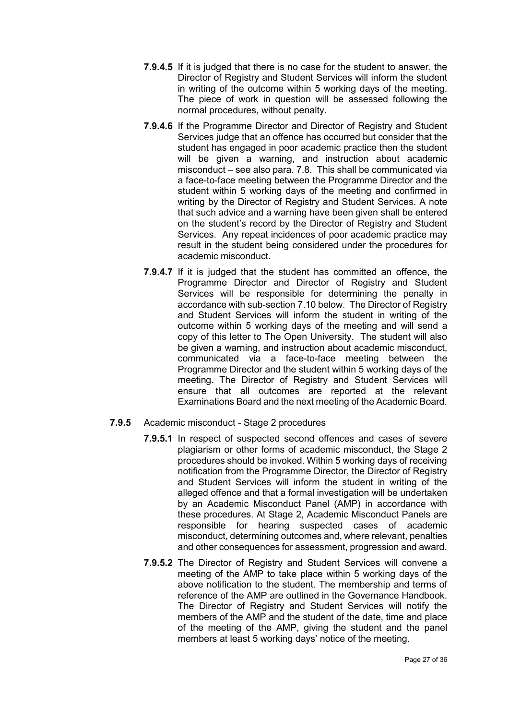- **7.9.4.5** If it is judged that there is no case for the student to answer, the Director of Registry and Student Services will inform the student in writing of the outcome within 5 working days of the meeting. The piece of work in question will be assessed following the normal procedures, without penalty.
- **7.9.4.6** If the Programme Director and Director of Registry and Student Services judge that an offence has occurred but consider that the student has engaged in poor academic practice then the student will be given a warning, and instruction about academic misconduct – see also para. 7.8. This shall be communicated via a face-to-face meeting between the Programme Director and the student within 5 working days of the meeting and confirmed in writing by the Director of Registry and Student Services. A note that such advice and a warning have been given shall be entered on the student's record by the Director of Registry and Student Services. Any repeat incidences of poor academic practice may result in the student being considered under the procedures for academic misconduct.
- **7.9.4.7** If it is judged that the student has committed an offence, the Programme Director and Director of Registry and Student Services will be responsible for determining the penalty in accordance with sub-section 7.10 below. The Director of Registry and Student Services will inform the student in writing of the outcome within 5 working days of the meeting and will send a copy of this letter to The Open University. The student will also be given a warning, and instruction about academic misconduct, communicated via a face-to-face meeting between the Programme Director and the student within 5 working days of the meeting. The Director of Registry and Student Services will ensure that all outcomes are reported at the relevant Examinations Board and the next meeting of the Academic Board.
- **7.9.5** Academic misconduct Stage 2 procedures
	- **7.9.5.1** In respect of suspected second offences and cases of severe plagiarism or other forms of academic misconduct, the Stage 2 procedures should be invoked. Within 5 working days of receiving notification from the Programme Director, the Director of Registry and Student Services will inform the student in writing of the alleged offence and that a formal investigation will be undertaken by an Academic Misconduct Panel (AMP) in accordance with these procedures. At Stage 2, Academic Misconduct Panels are responsible for hearing suspected cases of academic misconduct, determining outcomes and, where relevant, penalties and other consequences for assessment, progression and award.
	- **7.9.5.2** The Director of Registry and Student Services will convene a meeting of the AMP to take place within 5 working days of the above notification to the student. The membership and terms of reference of the AMP are outlined in the Governance Handbook. The Director of Registry and Student Services will notify the members of the AMP and the student of the date, time and place of the meeting of the AMP, giving the student and the panel members at least 5 working days' notice of the meeting.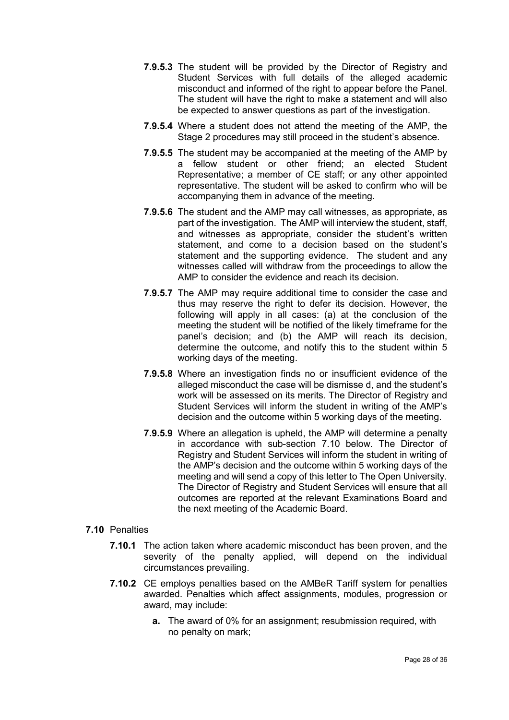- **7.9.5.3** The student will be provided by the Director of Registry and Student Services with full details of the alleged academic misconduct and informed of the right to appear before the Panel. The student will have the right to make a statement and will also be expected to answer questions as part of the investigation.
- **7.9.5.4** Where a student does not attend the meeting of the AMP, the Stage 2 procedures may still proceed in the student's absence.
- **7.9.5.5** The student may be accompanied at the meeting of the AMP by a fellow student or other friend; an elected Student Representative; a member of CE staff; or any other appointed representative. The student will be asked to confirm who will be accompanying them in advance of the meeting.
- **7.9.5.6** The student and the AMP may call witnesses, as appropriate, as part of the investigation. The AMP will interview the student, staff, and witnesses as appropriate, consider the student's written statement, and come to a decision based on the student's statement and the supporting evidence. The student and any witnesses called will withdraw from the proceedings to allow the AMP to consider the evidence and reach its decision.
- **7.9.5.7** The AMP may require additional time to consider the case and thus may reserve the right to defer its decision. However, the following will apply in all cases: (a) at the conclusion of the meeting the student will be notified of the likely timeframe for the panel's decision; and (b) the AMP will reach its decision, determine the outcome, and notify this to the student within 5 working days of the meeting.
- **7.9.5.8** Where an investigation finds no or insufficient evidence of the alleged misconduct the case will be dismisse d, and the student's work will be assessed on its merits. The Director of Registry and Student Services will inform the student in writing of the AMP's decision and the outcome within 5 working days of the meeting.
- **7.9.5.9** Where an allegation is upheld, the AMP will determine a penalty in accordance with sub-section 7.10 below. The Director of Registry and Student Services will inform the student in writing of the AMP's decision and the outcome within 5 working days of the meeting and will send a copy of this letter to The Open University. The Director of Registry and Student Services will ensure that all outcomes are reported at the relevant Examinations Board and the next meeting of the Academic Board.

# **7.10** Penalties

- **7.10.1** The action taken where academic misconduct has been proven, and the severity of the penalty applied, will depend on the individual circumstances prevailing.
- **7.10.2** CE employs penalties based on the AMBeR Tariff system for penalties awarded. Penalties which affect assignments, modules, progression or award, may include:
	- **a.** The award of 0% for an assignment; resubmission required, with no penalty on mark;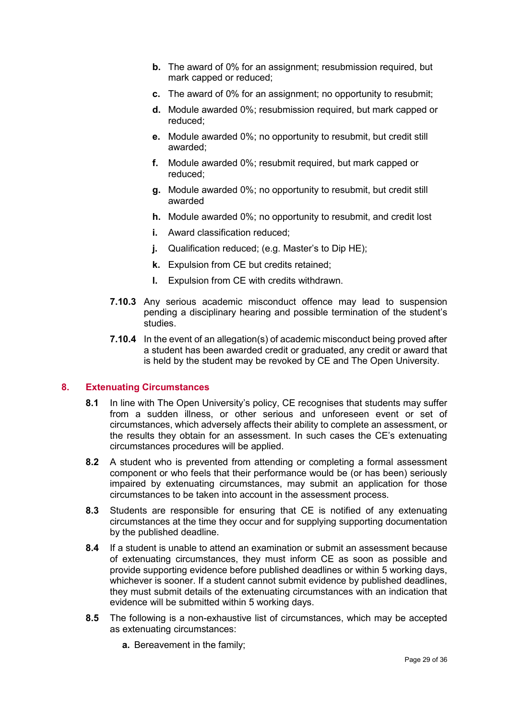- **b.** The award of 0% for an assignment; resubmission required, but mark capped or reduced;
- **c.** The award of 0% for an assignment; no opportunity to resubmit;
- **d.** Module awarded 0%; resubmission required, but mark capped or reduced;
- **e.** Module awarded 0%; no opportunity to resubmit, but credit still awarded;
- **f.** Module awarded 0%; resubmit required, but mark capped or reduced;
- **g.** Module awarded 0%; no opportunity to resubmit, but credit still awarded
- **h.** Module awarded 0%; no opportunity to resubmit, and credit lost
- **i.** Award classification reduced:
- **j.** Qualification reduced; (e.g. Master's to Dip HE);
- **k.** Expulsion from CE but credits retained;
- **l.** Expulsion from CE with credits withdrawn.
- **7.10.3** Any serious academic misconduct offence may lead to suspension pending a disciplinary hearing and possible termination of the student's studies.
- **7.10.4** In the event of an allegation(s) of academic misconduct being proved after a student has been awarded credit or graduated, any credit or award that is held by the student may be revoked by CE and The Open University.

# <span id="page-30-0"></span>**8. Extenuating Circumstances**

- **8.1** In line with The Open University's policy, CE recognises that students may suffer from a sudden illness, or other serious and unforeseen event or set of circumstances, which adversely affects their ability to complete an assessment, or the results they obtain for an assessment. In such cases the CE's extenuating circumstances procedures will be applied.
- **8.2** A student who is prevented from attending or completing a formal assessment component or who feels that their performance would be (or has been) seriously impaired by extenuating circumstances, may submit an application for those circumstances to be taken into account in the assessment process.
- **8.3** Students are responsible for ensuring that CE is notified of any extenuating circumstances at the time they occur and for supplying supporting documentation by the published deadline.
- **8.4** If a student is unable to attend an examination or submit an assessment because of extenuating circumstances, they must inform CE as soon as possible and provide supporting evidence before published deadlines or within 5 working days, whichever is sooner. If a student cannot submit evidence by published deadlines, they must submit details of the extenuating circumstances with an indication that evidence will be submitted within 5 working days.
- **8.5** The following is a non-exhaustive list of circumstances, which may be accepted as extenuating circumstances:
	- **a.** Bereavement in the family;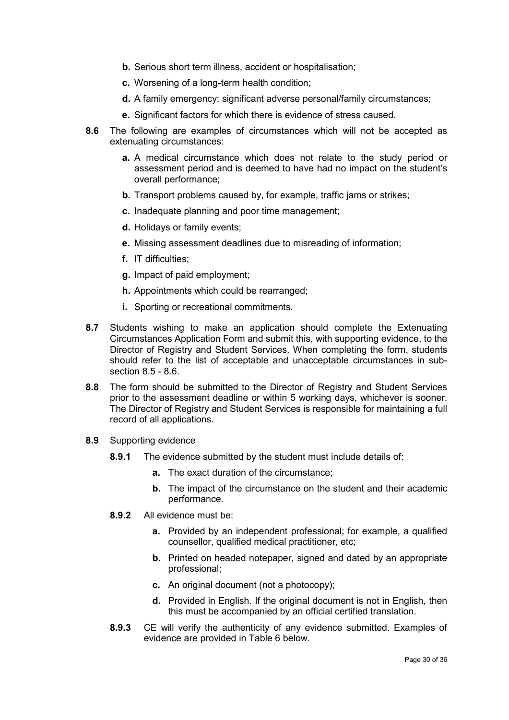- **b.** Serious short term illness, accident or hospitalisation;
- **c.** Worsening of a long-term health condition;
- **d.** A family emergency: significant adverse personal/family circumstances;
- **e.** Significant factors for which there is evidence of stress caused.
- **8.6** The following are examples of circumstances which will not be accepted as extenuating circumstances:
	- **a.** A medical circumstance which does not relate to the study period or assessment period and is deemed to have had no impact on the student's overall performance;
	- **b.** Transport problems caused by, for example, traffic jams or strikes;
	- **c.** Inadequate planning and poor time management;
	- **d.** Holidays or family events;
	- **e.** Missing assessment deadlines due to misreading of information;
	- **f.** IT difficulties;
	- **g.** Impact of paid employment;
	- **h.** Appointments which could be rearranged;
	- **i.** Sporting or recreational commitments.
- **8.7** Students wishing to make an application should complete the Extenuating Circumstances Application Form and submit this, with supporting evidence, to the Director of Registry and Student Services. When completing the form, students should refer to the list of acceptable and unacceptable circumstances in subsection 8.5 - 8.6.
- **8.8** The form should be submitted to the Director of Registry and Student Services prior to the assessment deadline or within 5 working days, whichever is sooner. The Director of Registry and Student Services is responsible for maintaining a full record of all applications.
- **8.9** Supporting evidence
	- **8.9.1** The evidence submitted by the student must include details of:
		- **a.** The exact duration of the circumstance;
		- **b.** The impact of the circumstance on the student and their academic performance.
	- **8.9.2** All evidence must be:
		- **a.** Provided by an independent professional; for example, a qualified counsellor, qualified medical practitioner, etc;
		- **b.** Printed on headed notepaper, signed and dated by an appropriate professional;
		- **c.** An original document (not a photocopy);
		- **d.** Provided in English. If the original document is not in English, then this must be accompanied by an official certified translation.
	- **8.9.3** CE will verify the authenticity of any evidence submitted. Examples of evidence are provided in Table 6 below.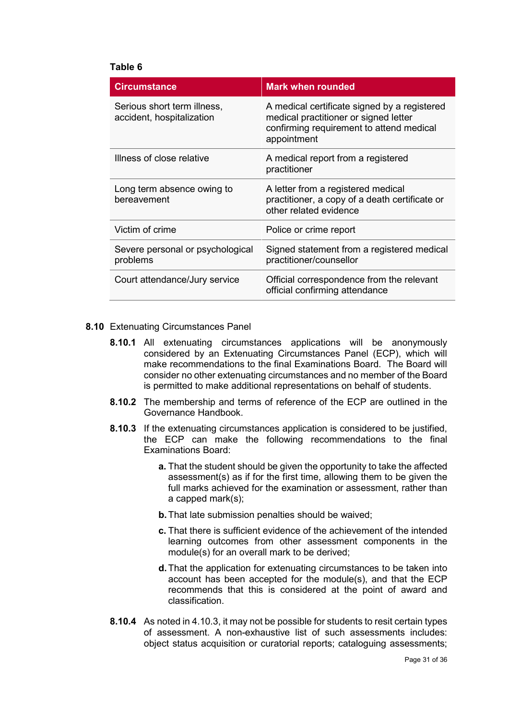#### **Table 6**

| <b>Circumstance</b>                                      | <b>Mark when rounded</b>                                                                                                                         |
|----------------------------------------------------------|--------------------------------------------------------------------------------------------------------------------------------------------------|
| Serious short term illness,<br>accident, hospitalization | A medical certificate signed by a registered<br>medical practitioner or signed letter<br>confirming requirement to attend medical<br>appointment |
| Illness of close relative                                | A medical report from a registered<br>practitioner                                                                                               |
| Long term absence owing to<br>bereavement                | A letter from a registered medical<br>practitioner, a copy of a death certificate or<br>other related evidence                                   |
| Victim of crime                                          | Police or crime report                                                                                                                           |
| Severe personal or psychological<br>problems             | Signed statement from a registered medical<br>practitioner/counsellor                                                                            |
| Court attendance/Jury service                            | Official correspondence from the relevant<br>official confirming attendance                                                                      |

#### **8.10** Extenuating Circumstances Panel

- **8.10.1** All extenuating circumstances applications will be anonymously considered by an Extenuating Circumstances Panel (ECP), which will make recommendations to the final Examinations Board. The Board will consider no other extenuating circumstances and no member of the Board is permitted to make additional representations on behalf of students.
- **8.10.2** The membership and terms of reference of the ECP are outlined in the Governance Handbook.
- **8.10.3** If the extenuating circumstances application is considered to be justified, the ECP can make the following recommendations to the final Examinations Board:
	- **a.** That the student should be given the opportunity to take the affected assessment(s) as if for the first time, allowing them to be given the full marks achieved for the examination or assessment, rather than a capped mark(s);
	- **b.**That late submission penalties should be waived;
	- **c.** That there is sufficient evidence of the achievement of the intended learning outcomes from other assessment components in the module(s) for an overall mark to be derived;
	- **d.**That the application for extenuating circumstances to be taken into account has been accepted for the module(s), and that the ECP recommends that this is considered at the point of award and classification.
- **8.10.4** As noted in 4.10.3, it may not be possible for students to resit certain types of assessment. A non-exhaustive list of such assessments includes: object status acquisition or curatorial reports; cataloguing assessments;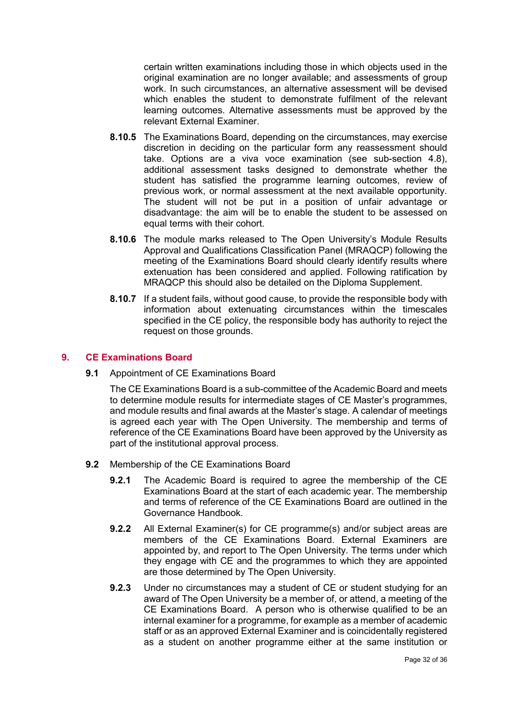certain written examinations including those in which objects used in the original examination are no longer available; and assessments of group work. In such circumstances, an alternative assessment will be devised which enables the student to demonstrate fulfilment of the relevant learning outcomes. Alternative assessments must be approved by the relevant External Examiner.

- **8.10.5** The Examinations Board, depending on the circumstances, may exercise discretion in deciding on the particular form any reassessment should take. Options are a viva voce examination (see sub-section 4.8), additional assessment tasks designed to demonstrate whether the student has satisfied the programme learning outcomes, review of previous work, or normal assessment at the next available opportunity. The student will not be put in a position of unfair advantage or disadvantage: the aim will be to enable the student to be assessed on equal terms with their cohort.
- **8.10.6** The module marks released to The Open University's Module Results Approval and Qualifications Classification Panel (MRAQCP) following the meeting of the Examinations Board should clearly identify results where extenuation has been considered and applied. Following ratification by MRAQCP this should also be detailed on the Diploma Supplement.
- **8.10.7** If a student fails, without good cause, to provide the responsible body with information about extenuating circumstances within the timescales specified in the CE policy, the responsible body has authority to reject the request on those grounds.

# <span id="page-33-0"></span>**9. CE Examinations Board**

**9.1** Appointment of CE Examinations Board

The CE Examinations Board is a sub-committee of the Academic Board and meets to determine module results for intermediate stages of CE Master's programmes, and module results and final awards at the Master's stage. A calendar of meetings is agreed each year with The Open University. The membership and terms of reference of the CE Examinations Board have been approved by the University as part of the institutional approval process.

- **9.2** Membership of the CE Examinations Board
	- **9.2.1** The Academic Board is required to agree the membership of the CE Examinations Board at the start of each academic year. The membership and terms of reference of the CE Examinations Board are outlined in the Governance Handbook.
	- **9.2.2** All External Examiner(s) for CE programme(s) and/or subject areas are members of the CE Examinations Board. External Examiners are appointed by, and report to The Open University. The terms under which they engage with CE and the programmes to which they are appointed are those determined by The Open University.
	- **9.2.3** Under no circumstances may a student of CE or student studying for an award of The Open University be a member of, or attend, a meeting of the CE Examinations Board. A person who is otherwise qualified to be an internal examiner for a programme, for example as a member of academic staff or as an approved External Examiner and is coincidentally registered as a student on another programme either at the same institution or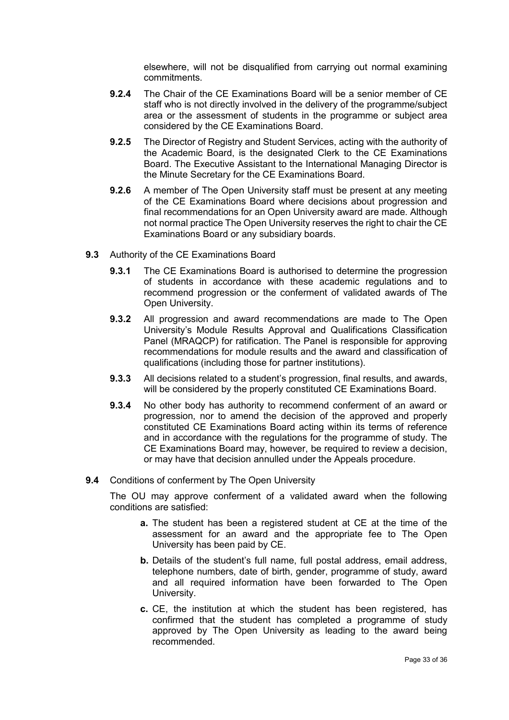elsewhere, will not be disqualified from carrying out normal examining commitments.

- **9.2.4** The Chair of the CE Examinations Board will be a senior member of CE staff who is not directly involved in the delivery of the programme/subject area or the assessment of students in the programme or subject area considered by the CE Examinations Board.
- **9.2.5** The Director of Registry and Student Services, acting with the authority of the Academic Board, is the designated Clerk to the CE Examinations Board. The Executive Assistant to the International Managing Director is the Minute Secretary for the CE Examinations Board.
- **9.2.6** A member of The Open University staff must be present at any meeting of the CE Examinations Board where decisions about progression and final recommendations for an Open University award are made. Although not normal practice The Open University reserves the right to chair the CE Examinations Board or any subsidiary boards.
- **9.3** Authority of the CE Examinations Board
	- **9.3.1** The CE Examinations Board is authorised to determine the progression of students in accordance with these academic regulations and to recommend progression or the conferment of validated awards of The Open University.
	- **9.3.2** All progression and award recommendations are made to The Open University's Module Results Approval and Qualifications Classification Panel (MRAQCP) for ratification. The Panel is responsible for approving recommendations for module results and the award and classification of qualifications (including those for partner institutions).
	- **9.3.3** All decisions related to a student's progression, final results, and awards, will be considered by the properly constituted CE Examinations Board.
	- **9.3.4** No other body has authority to recommend conferment of an award or progression, nor to amend the decision of the approved and properly constituted CE Examinations Board acting within its terms of reference and in accordance with the regulations for the programme of study. The CE Examinations Board may, however, be required to review a decision, or may have that decision annulled under the Appeals procedure.
- **9.4** Conditions of conferment by The Open University

The OU may approve conferment of a validated award when the following conditions are satisfied:

- **a.** The student has been a registered student at CE at the time of the assessment for an award and the appropriate fee to The Open University has been paid by CE.
- **b.** Details of the student's full name, full postal address, email address, telephone numbers, date of birth, gender, programme of study, award and all required information have been forwarded to The Open University.
- **c.** CE, the institution at which the student has been registered, has confirmed that the student has completed a programme of study approved by The Open University as leading to the award being recommended.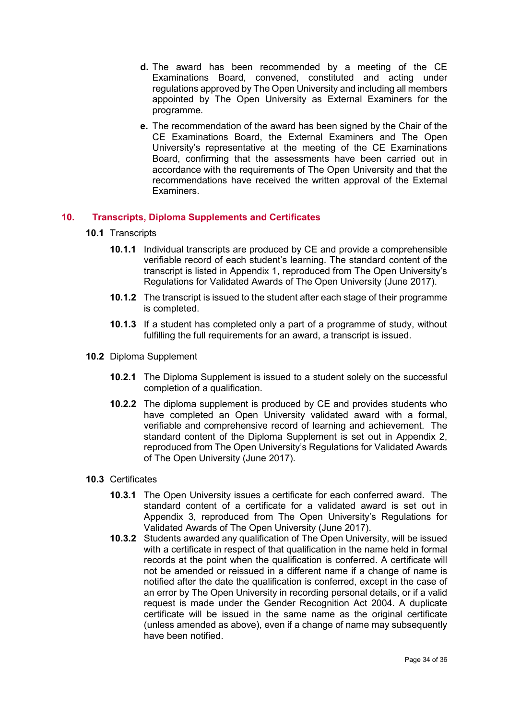- **d.** The award has been recommended by a meeting of the CE Examinations Board, convened, constituted and acting under regulations approved by The Open University and including all members appointed by The Open University as External Examiners for the programme.
- **e.** The recommendation of the award has been signed by the Chair of the CE Examinations Board, the External Examiners and The Open University's representative at the meeting of the CE Examinations Board, confirming that the assessments have been carried out in accordance with the requirements of The Open University and that the recommendations have received the written approval of the External Examiners.

# <span id="page-35-0"></span>**10. Transcripts, Diploma Supplements and Certificates**

- **10.1** Transcripts
	- **10.1.1** Individual transcripts are produced by CE and provide a comprehensible verifiable record of each student's learning. The standard content of the transcript is listed in Appendix 1, reproduced from The Open University's Regulations for Validated Awards of The Open University (June 2017).
	- **10.1.2** The transcript is issued to the student after each stage of their programme is completed.
	- **10.1.3** If a student has completed only a part of a programme of study, without fulfilling the full requirements for an award, a transcript is issued.
- **10.2** Diploma Supplement
	- **10.2.1** The Diploma Supplement is issued to a student solely on the successful completion of a qualification.
	- **10.2.2** The diploma supplement is produced by CE and provides students who have completed an Open University validated award with a formal, verifiable and comprehensive record of learning and achievement. The standard content of the Diploma Supplement is set out in Appendix 2, reproduced from The Open University's Regulations for Validated Awards of The Open University (June 2017).

# **10.3** Certificates

- **10.3.1** The Open University issues a certificate for each conferred award. The standard content of a certificate for a validated award is set out in Appendix 3, reproduced from The Open University's Regulations for Validated Awards of The Open University (June 2017).
- **10.3.2** Students awarded any qualification of The Open University, will be issued with a certificate in respect of that qualification in the name held in formal records at the point when the qualification is conferred. A certificate will not be amended or reissued in a different name if a change of name is notified after the date the qualification is conferred, except in the case of an error by The Open University in recording personal details, or if a valid request is made under the Gender Recognition Act 2004. A duplicate certificate will be issued in the same name as the original certificate (unless amended as above), even if a change of name may subsequently have been notified.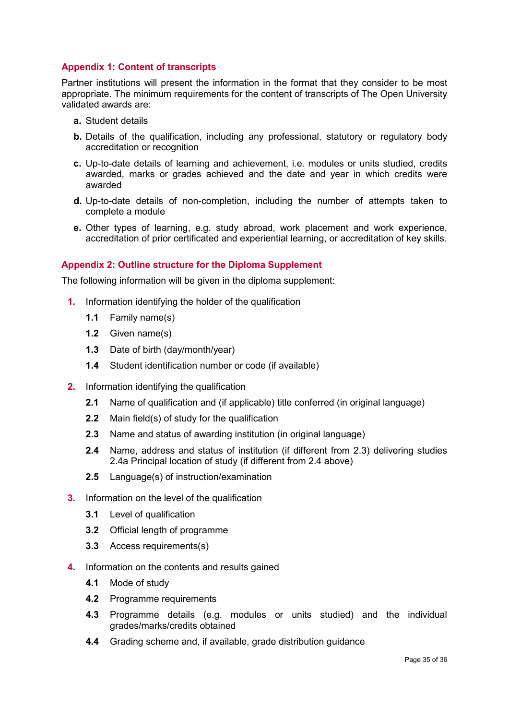# <span id="page-36-0"></span>**Appendix 1: Content of transcripts**

Partner institutions will present the information in the format that they consider to be most appropriate. The minimum requirements for the content of transcripts of The Open University validated awards are:

- **a.** Student details
- **b.** Details of the qualification, including any professional, statutory or regulatory body accreditation or recognition
- **c.** Up-to-date details of learning and achievement, i.e. modules or units studied, credits awarded, marks or grades achieved and the date and year in which credits were awarded
- **d.** Up-to-date details of non-completion, including the number of attempts taken to complete a module
- **e.** Other types of learning, e.g. study abroad, work placement and work experience, accreditation of prior certificated and experiential learning, or accreditation of key skills.

# <span id="page-36-1"></span>**Appendix 2: Outline structure for the Diploma Supplement**

The following information will be given in the diploma supplement:

- **1.** Information identifying the holder of the qualification
	- **1.1** Family name(s)
	- **1.2** Given name(s)
	- **1.3** Date of birth (day/month/year)
	- **1.4** Student identification number or code (if available)
- **2.** Information identifying the qualification
	- **2.1** Name of qualification and (if applicable) title conferred (in original language)
	- **2.2** Main field(s) of study for the qualification
	- **2.3** Name and status of awarding institution (in original language)
	- **2.4** Name, address and status of institution (if different from 2.3) delivering studies 2.4a Principal location of study (if different from 2.4 above)
	- **2.5** Language(s) of instruction/examination
- **3.** Information on the level of the qualification
	- **3.1** Level of qualification
	- **3.2** Official length of programme
	- **3.3** Access requirements(s)
- **4.** Information on the contents and results gained
	- **4.1** Mode of study
	- **4.2** Programme requirements
	- **4.3** Programme details (e.g. modules or units studied) and the individual grades/marks/credits obtained
	- **4.4** Grading scheme and, if available, grade distribution guidance